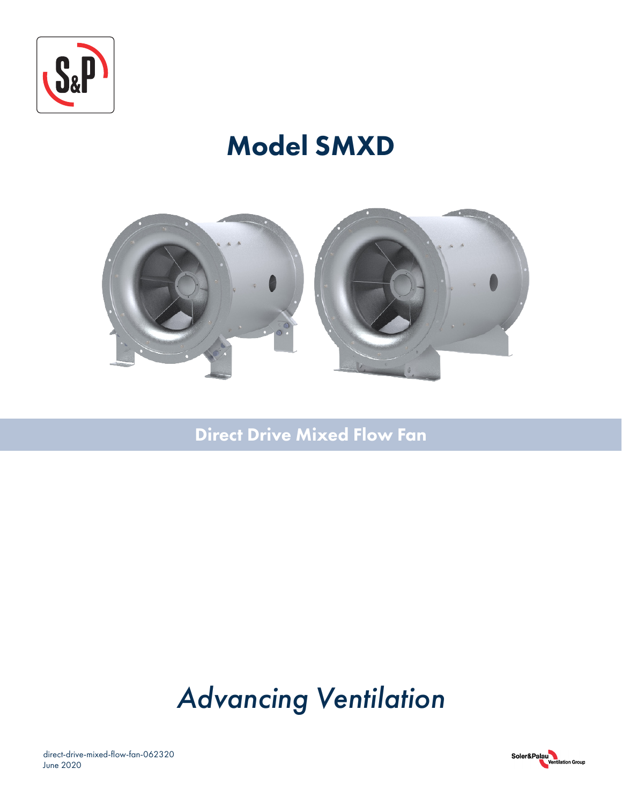

## Model SMXD



Direct Drive Mixed Flow Fan

# *Advancing Ventilation*

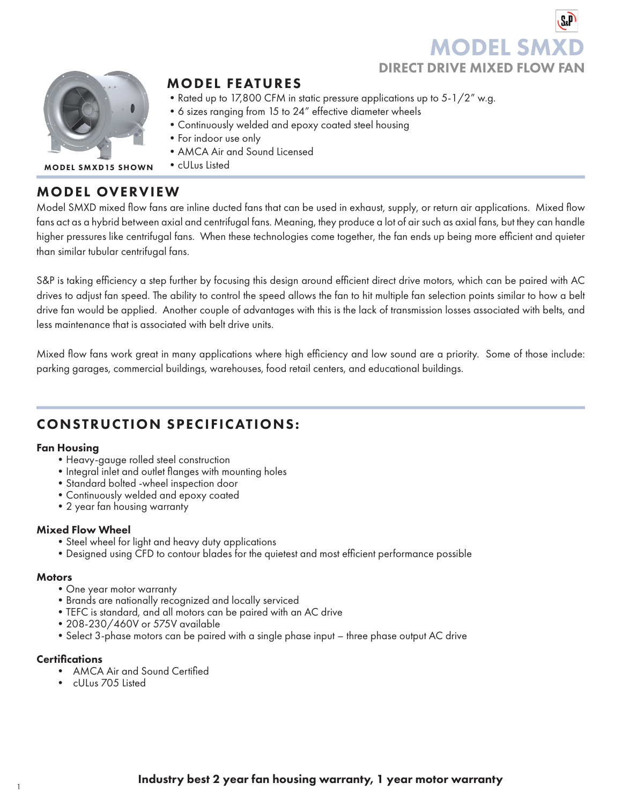## **MODEL SN** DIRECT DRIVE MIXED FLOW FAN



## MODEL FEATURES

- Rated up to 17,800 CFM in static pressure applications up to 5-1/2" w.g.
- •6 sizes ranging from 15 to 24" effective diameter wheels
- •Continuously welded and epoxy coated steel housing
- •For indoor use only
- •AMCA Air and Sound Licensed
- •cULus Listed MODEL SMXD15 SHOWN

## MODEL OVERVIEW

Model SMXD mixed flow fans are inline ducted fans that can be used in exhaust, supply, or return air applications. Mixed flow fans act as a hybrid between axial and centrifugal fans. Meaning, they produce a lot of air such as axial fans, but they can handle higher pressures like centrifugal fans. When these technologies come together, the fan ends up being more efficient and quieter than similar tubular centrifugal fans.

S&P is taking efficiency a step further by focusing this design around efficient direct drive motors, which can be paired with AC drives to adjust fan speed. The ability to control the speed allows the fan to hit multiple fan selection points similar to how a belt drive fan would be applied. Another couple of advantages with this is the lack of transmission losses associated with belts, and less maintenance that is associated with belt drive units.

Mixed flow fans work great in many applications where high efficiency and low sound are a priority. Some of those include: parking garages, commercial buildings, warehouses, food retail centers, and educational buildings.

## CONSTRUCTION SPECIFICATIONS:

#### Fan Housing

- •Heavy-gauge rolled steel construction
- Integral inlet and outlet flanges with mounting holes
- •Standard bolted -wheel inspection door
- •Continuously welded and epoxy coated
- •2 year fan housing warranty

### Mixed Flow Wheel

- •Steel wheel for light and heavy duty applications
- •Designed using CFD to contour blades for the quietest and most efficient performance possible

#### **Motors**

- •One year motor warranty
- •Brands are nationally recognized and locally serviced
- •TEFC is standard, and all motors can be paired with an AC drive
- •208-230/460V or 575V available
- •Select 3-phase motors can be paired with a single phase input three phase output AC drive

#### **Certifications**

- AMCA Air and Sound Certified
- cULus 705 Listed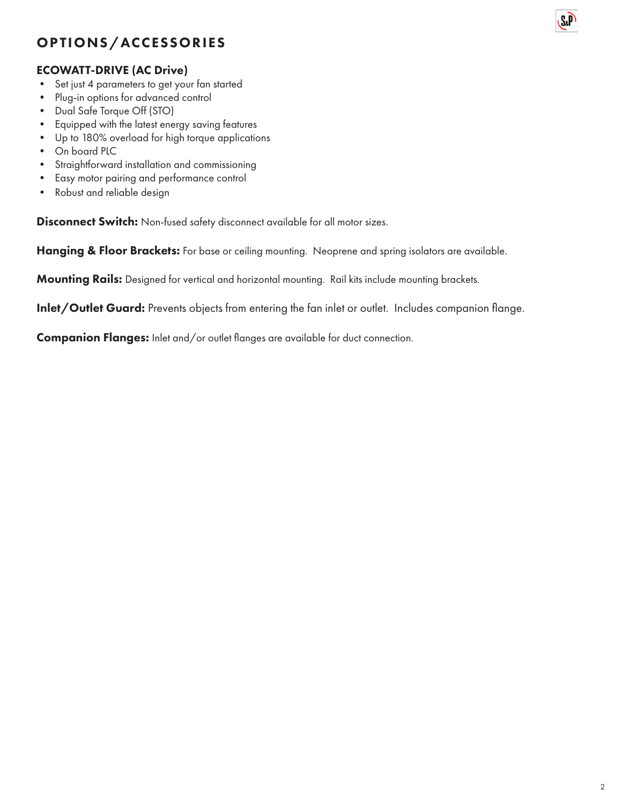## OPTIONS/ACCESSORIES

### ECOWATT-DRIVE (AC Drive)

- Set just 4 parameters to get your fan started
- Plug-in options for advanced control
- Dual Safe Torque Off (STO)
- Equipped with the latest energy saving features
- Up to 180% overload for high torque applications
- On board PLC
- Straightforward installation and commissioning
- Easy motor pairing and performance control
- Robust and reliable design

Disconnect Switch: Non-fused safety disconnect available for all motor sizes.

Hanging & Floor Brackets: For base or ceiling mounting. Neoprene and spring isolators are available.

Mounting Rails: Designed for vertical and horizontal mounting. Rail kits include mounting brackets.

Inlet/Outlet Guard: Prevents objects from entering the fan inlet or outlet. Includes companion flange.

Companion Flanges: Inlet and/or outlet flanges are available for duct connection.

**S**<sub>&</sub>P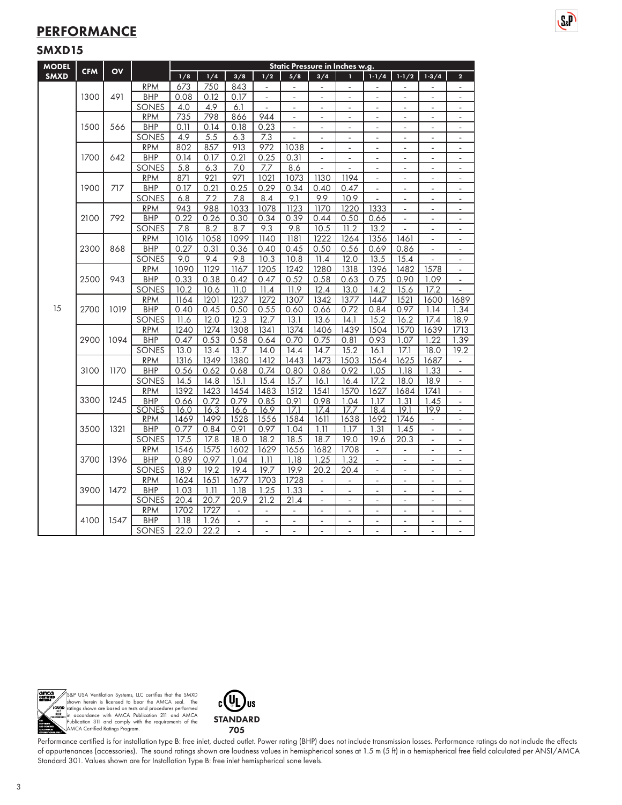## **PERFORMANCE**

#### SMXD15

| <b>MODEL</b> | <b>CFM</b> | O <sub>V</sub> |                            | Static Pressure in Inches w.g. |                     |                          |                          |                          |                          |                          |                          |                              |                          |                              |  |
|--------------|------------|----------------|----------------------------|--------------------------------|---------------------|--------------------------|--------------------------|--------------------------|--------------------------|--------------------------|--------------------------|------------------------------|--------------------------|------------------------------|--|
| <b>SMXD</b>  |            |                |                            | 1/8                            | 1/4                 | 3/8                      | 1/2                      | 5/8                      | 3/4                      |                          | $1 - 1/4$                | $1 - 1/2$                    | $1 - 3/4$                | $\overline{2}$               |  |
|              |            |                | <b>RPM</b>                 | 673                            | 750                 | 843                      |                          |                          |                          |                          |                          |                              |                          |                              |  |
|              | 1300       | 491            | <b>BHP</b>                 | 0.08                           | 0.12                | 0.17                     | ÷,                       | $\overline{\phantom{a}}$ | $\blacksquare$           | ÷,                       | $\overline{\phantom{a}}$ | $\frac{1}{2}$                | $\overline{\phantom{a}}$ | ÷,                           |  |
|              |            |                | SONES                      | 4.0                            | 4.9                 | 6.1                      |                          |                          | $\overline{a}$           | $\overline{a}$           |                          |                              |                          | $\overline{\phantom{m}}$     |  |
|              |            |                | <b>RPM</b>                 | 735                            | 798                 | 866                      | 944                      | $\overline{\phantom{a}}$ | $\blacksquare$           | ä,                       | $\blacksquare$           | $\overline{\phantom{a}}$     | ä,                       | $\overline{\phantom{a}}$     |  |
|              | 1500       | 566            | <b>BHP</b>                 | 0.11                           | 0.14                | 0.18                     | 0.23                     | ÷,                       | $\overline{a}$           | ä,                       | ÷,                       | ä,                           | ÷,                       | ÷,                           |  |
|              |            |                | SONES                      | 4.9                            | 5.5                 | 6.3                      | 7.3                      |                          |                          |                          |                          |                              |                          |                              |  |
|              |            |                | <b>RPM</b>                 | 802                            | 857                 | 913                      | 972                      | 1038                     | $\blacksquare$           | ÷,                       | ÷,                       | $\overline{a}$               | ÷,                       | $\blacksquare$               |  |
|              | 1700       | 642            | <b>BHP</b>                 | 0.14                           | 0.17                | 0.21                     | 0.25                     | 0.31                     | ÷,                       | ÷,                       |                          |                              |                          | $\blacksquare$               |  |
|              |            |                | SONES                      | $\overline{5.8}$               | 6.3                 | 7.0                      | 7.7                      | 8.6                      | $\overline{\phantom{a}}$ | $\blacksquare$           | $\blacksquare$           | $\frac{1}{2}$                | ÷,                       | $\overline{\phantom{a}}$     |  |
|              |            |                | <b>RPM</b>                 | 871                            | 921                 | 971                      | 1021                     | 1073                     | 1130                     | 1194                     |                          | ÷,                           |                          | ÷,                           |  |
|              | 1900       | 717            | <b>BHP</b>                 | 0.17                           | 0.21                | 0.25                     | 0.29                     | 0.34                     | 0.40                     | 0.47                     | ÷,                       |                              |                          | ÷                            |  |
|              |            |                | SONES                      | 6.8                            | 7.2                 | 7.8                      | 8.4                      | 9.1                      | 9.9                      | 10.9                     | ä,                       | ÷,                           | ÷,                       | $\blacksquare$               |  |
|              |            |                | <b>RPM</b>                 | 943                            | 988                 | 1033                     | 1078                     | 1123                     | 1170                     | 1220                     | 1333                     | $\overline{\phantom{a}}$     | ٠                        | $\overline{\phantom{a}}$     |  |
|              | 2100       | 792            | <b>BHP</b>                 | 0.22                           | 0.26                | 0.30                     | 0.34                     | 0.39                     | 0.44                     | 0.50                     | 0.66                     | $\blacksquare$               | $\overline{\phantom{a}}$ | $\overline{\phantom{a}}$     |  |
|              |            |                | <b>SONES</b>               | 7.8                            | 8.2                 | 8.7                      | 9.3                      | 9.8                      | 10.5                     | 11.2                     | 13.2                     | L.                           |                          | ä,                           |  |
|              |            |                | <b>RPM</b>                 | 1016                           | 1058                | 1099                     | 1140                     | 1181                     | 1222                     | 1264                     | 1356                     | 1461                         | L.                       | ä,                           |  |
|              | 2300       | 868            | <b>BHP</b>                 | 0.27                           | 0.31                | 0.36                     | 0.40                     | 0.45                     | 0.50                     | 0.56                     | 0.69                     | 0.86                         | ÷,                       | $\overline{\phantom{a}}$     |  |
|              |            |                | SONES                      | 9.0                            | 9.4                 | 9.8                      | 10.3                     | 10.8                     | 11.4                     | 12.0                     | 13.5                     | 15.4                         |                          | $\blacksquare$               |  |
|              |            |                | <b>RPM</b>                 | 1090                           | 1129                | 1167                     | 1205                     | 1242                     | 1280                     | 1318                     | 1396                     | 1482                         | 1578                     | $\overline{\phantom{a}}$     |  |
|              | 2500       | 943            | <b>BHP</b>                 | 0.33                           | 0.38                | 0.42                     | 0.47                     | 0.52                     | 0.58                     | 0.63                     | 0.75                     | 0.90                         | 1.09                     | $\blacksquare$               |  |
|              |            |                | <b>SONES</b>               | 10.2                           | 10.6                | 11.0                     | 11.4                     | 11.9                     | 12.4                     | 13.0                     | 14.2                     | 15.6                         | 17.2                     |                              |  |
|              |            |                | <b>RPM</b>                 | 1164                           | 1201                | 1237                     | 1272                     | 1307                     | 1342                     | 1377                     | 1447                     | 1521                         | 1600                     | 1689                         |  |
| 15           | 2700       | 1019           | <b>BHP</b>                 | 0.40                           | 0.45                | 0.50                     | 0.55                     | 0.60                     | 0.66                     | 0.72                     | 0.84                     | 0.97                         | 1.14                     | 1.34                         |  |
|              |            |                | SONES                      | 11.6                           | 12.0                | 12.3                     | 12.7                     | 13.1                     | 13.6                     | 14.1                     | 15.2                     | 16.2                         | 17.4                     | 18.9                         |  |
|              | 2900       | 1094           | <b>RPM</b>                 | 1240                           | 1274                | 1308                     | 1341                     | 1374                     | 1406                     | 1439                     | 1504                     | 1570                         | 1639                     | 1713                         |  |
|              |            |                | <b>BHP</b>                 | 0.47                           | 0.53                | 0.58                     | 0.64                     | 0.70                     | 0.75                     | 0.81                     | 0.93                     | 1.07                         | 1.22                     | 1.39                         |  |
|              |            |                | SONES                      | 13.0                           | 13.4                | 13.7                     | 14.0                     | 14.4                     | 14.7                     | 15.2                     | 16.1                     | 17.1                         | 18.0                     | 19.2                         |  |
|              |            |                | <b>RPM</b>                 | 1316                           | 1349                | 1380                     | 1412                     | 1443                     | 1473                     | 1503                     | 1564                     | 1625                         | 1687                     | $\overline{\phantom{a}}$     |  |
|              | 3100       | 1170           | <b>BHP</b>                 | 0.56                           | 0.62                | 0.68                     | 0.74                     | 0.80                     | 0.86                     | 0.92                     | 1.05                     | 1.18                         | 1.33                     | ÷                            |  |
|              |            |                | SONES                      | 14.5                           | 14.8                | 15.1                     | 15.4                     | 15.7                     | 16.1                     | 16.4                     | 17.2                     | 18.0                         | 18.9                     | $\overline{\phantom{a}}$     |  |
|              | 3300       | 1245           | <b>RPM</b>                 | 1392                           | 1423                | 1454                     | 1483                     | 1512                     | 1541                     | 1570                     | 1627                     | 1684                         | 1741                     | ä,                           |  |
|              |            |                | <b>BHP</b><br><b>SONES</b> | 0.66<br>16.0                   | 0.72<br>16.3        | 0.79<br>16.6             | 0.85<br>16.9             | 0.91<br>171              | 0.98<br>17.4             | 1.04<br>177              | 1.17<br>18.4             | 1.31<br>19.1                 | 1.45<br>19.9             | $\blacksquare$<br>ä,         |  |
|              |            |                | <b>RPM</b>                 | 1469                           | 1499                | 1528                     | 1556                     | 1584                     | 1611                     | 1638                     | 1692                     | 1746                         | L.                       | $\overline{\phantom{a}}$     |  |
|              | 3500       | 1321           | <b>BHP</b>                 | 0.77                           | 0.84                | 0.91                     | 0.97                     | 1.04                     | 1.11                     | 1.17                     | 1.31                     | 1.45                         | L.                       | $\blacksquare$               |  |
|              |            |                | SONES                      | 17.5                           | 17.8                | 18.0                     | 18.2                     | 18.5                     | 18.7                     | 19.0                     | 19.6                     | 20.3                         | ÷,                       | ÷,                           |  |
|              |            |                | <b>RPM</b>                 | 1546                           | 1575                | 1602                     | 1629                     | 1656                     | 1682                     | 1708                     |                          |                              |                          | $\blacksquare$               |  |
|              | 3700       | 1396           | <b>BHP</b>                 | 0.89                           | 0.97                | 1.04                     | 1.11                     | 1.18                     | 1.25                     | 1.32                     | $\overline{\phantom{a}}$ | $\blacksquare$               | ä,                       | $\overline{\phantom{a}}$     |  |
|              |            |                | <b>SONES</b>               | 18.9                           | 19.2                | 19.4                     | 19.7                     | 19.9                     | 20.2                     | 20.4                     | ÷,                       | Ĭ.                           |                          | ä,                           |  |
|              |            |                | <b>RPM</b>                 | 1624                           | 1651                | 1677                     | 1703                     | 1728                     | ä,                       | $\overline{a}$           | ä,                       | ÷,                           | ÷,                       | $\blacksquare$               |  |
|              | 3900       | 1472           | <b>BHP</b>                 | 1.03                           | 1.11                | 1.18                     | 1.25                     | 1.33                     | $\blacksquare$           | $\blacksquare$           | ÷,                       | ÷,                           | ÷,                       | $\blacksquare$               |  |
|              |            |                | <b>SONES</b>               | 20.4                           | 20.7                | 20.9                     | 21.2                     | 21.4                     | ä,                       | ÷,                       |                          |                              |                          | $\qquad \qquad \blacksquare$ |  |
|              |            |                | <b>RPM</b>                 | 1702                           | 1727                | $\overline{\phantom{a}}$ | $\overline{\phantom{a}}$ | $\Box$                   | $\overline{\phantom{a}}$ | $\overline{\phantom{a}}$ | $\overline{\phantom{a}}$ | $\qquad \qquad \blacksquare$ | $\frac{1}{2}$            | $\overline{\phantom{a}}$     |  |
|              | 4100       | 1547           | <b>BHP</b>                 | 1.18                           | $\frac{1.26}{1.26}$ | $\frac{1}{2}$            | L.                       |                          | $\overline{\phantom{a}}$ | L,                       |                          | L,                           |                          | ÷,                           |  |
|              |            |                | <b>SONES</b>               | 22.0                           | 22.2                | $\overline{a}$           | $\overline{a}$           | $\overline{a}$           | $\overline{a}$           | $\overline{a}$           |                          | ÷,                           |                          |                              |  |

 $S_n$ 



S&P USA Ventilation Systems, LLC certifies that the SMXD<br>shown herein is licensed to bear the AMCA seal. The<br>ratings shown are based on tests and procedures performed<br>in accordance with AMCA Publication 211 and AMCA<br>Public



Performance certified is for installation type B: free inlet, ducted outlet. Power rating (BHP) does not include transmission losses. Performance ratings do not include the effects of appurtenances (accessories). The sound ratings shown are loudness values in hemispherical sones at 1.5 m (5 ft) in a hemispherical free field calculated per ANSI/AMCA Standard 301. Values shown are for Installation Type B: free inlet hemispherical sone levels.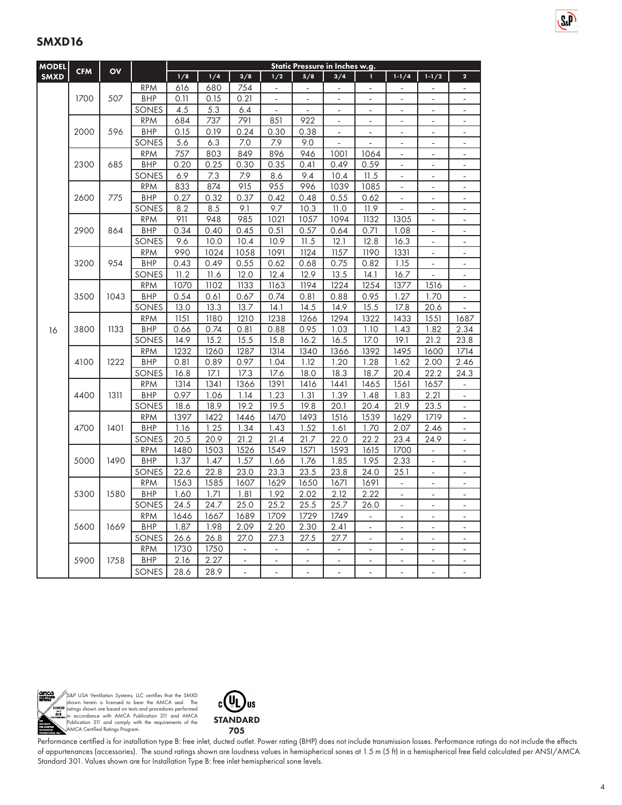| <b>MODEL</b> |            |      |                     |              |              |                          |                |                | Static Pressure in Inches w.g. |                |                          |                          |                          |
|--------------|------------|------|---------------------|--------------|--------------|--------------------------|----------------|----------------|--------------------------------|----------------|--------------------------|--------------------------|--------------------------|
| <b>SMXD</b>  | <b>CFM</b> | OV   |                     | 1/8          | 1/4          | 3/8                      | 1/2            | 5/8            | 3/4                            | ī.             | $1 - 1/4$                | $1 - 1/2$                | $\overline{2}$           |
|              |            |      | <b>RPM</b>          | 616          | 680          | 754                      | $\sim$         | L.             | L.                             | ä,             | L.                       | L.                       | L.                       |
|              | 1700       | 507  | <b>BHP</b>          | 0.11         | 0.15         | 0.21                     | L.             | $\overline{a}$ | ÷.                             | L.             | $\overline{a}$           | L.                       | $\overline{a}$           |
|              |            |      | SONES               | 4.5          | 5.3          | 6.4                      | ÷.             |                | ä,                             | ä,             | $\sim$                   | ä,                       | $\frac{1}{2}$            |
|              |            |      | <b>RPM</b>          | 684          | 737          | 791                      | 851            | 922            |                                | L              |                          | $\overline{a}$           | $\overline{\phantom{0}}$ |
|              | 2000       | 596  | BHP                 | 0.15         | 0.19         | 0.24                     | 0.30           | 0.38           | $\blacksquare$                 | $\blacksquare$ | $\blacksquare$           | $\overline{\phantom{a}}$ | $\blacksquare$           |
|              |            |      | SONES               | 5.6          | 6.3          | 7.0                      | 7.9            | 9.0            |                                |                |                          | ÷,                       | ٠                        |
|              |            |      | <b>RPM</b>          | 757          | 803          | 849                      | 896            | 946            | 1001                           | 1064           | $\blacksquare$           | $\blacksquare$           | $\blacksquare$           |
|              | 2300       | 685  | <b>BHP</b>          | 0.20         | 0.25         | 0.30                     | 0.35           | 0.41           | 0.49                           | 0.59           |                          | L.                       | L.                       |
|              |            |      | SONES               | 6.9          | 7.3          | 7.9                      | 8.6            | 9.4            | 10.4                           | 11.5           | $\overline{a}$           | ÷.                       | ä,                       |
|              |            |      | <b>RPM</b>          | 833          | 874          | 915                      | 955            | 996            | 1039                           | 1085           | $\blacksquare$           | $\frac{1}{2}$            | $\blacksquare$           |
|              | 2600       | 775  | <b>BHP</b>          | 0.27         | 0.32         | 0.37                     | 0.42           | 0.48           | 0.55                           | 0.62           |                          | $\overline{a}$           | $\overline{\phantom{0}}$ |
|              |            |      | SONES               | 8.2          | 8.5          | 9.1                      | 9.7            | 10.3           | 11.0                           | 11.9           |                          | $\overline{\phantom{a}}$ | ÷,                       |
|              |            |      | <b>RPM</b>          | 911          | 948          | 985                      | 1021           | 1057           | 1094                           | 1132           | 1305                     | ÷.                       | ÷,                       |
|              | 2900       | 864  | <b>BHP</b>          | 0.34         | 0.40         | 0.45                     | 0.51           | 0.57           | 0.64                           | 0.71           | 1.08                     | $\overline{\phantom{a}}$ | ÷.                       |
|              |            |      | SONES               | 9.6          | 10.0         | 10.4                     | 10.9           | 11.5           | 12.1                           | 12.8           | 16.3                     | $\overline{a}$           | $\overline{\phantom{0}}$ |
|              |            |      | <b>RPM</b>          | 990          | 1024         | 1058                     | 1091           | 1124           | 1157                           | 1190           | 1331                     |                          | $\blacksquare$           |
|              | 3200       | 954  | <b>BHP</b>          | 0.43         | 0.49         | 0.55                     | 0.62           | 0.68           | 0.75                           | 0.82           | 1.15                     | ÷                        | $\blacksquare$           |
|              |            |      | SONES               | 11.2         | 11.6         | 12.0                     | 12.4           | 12.9<br>1194   | 13.5<br>1224                   | 14.1<br>1254   | 16.7<br>1377             |                          |                          |
|              | 3500       | 1043 | <b>RPM</b>          | 1070         | 1102         | 1133                     | 1163           |                |                                |                |                          | 1516<br>1.70             | ٠                        |
|              |            |      | <b>BHP</b><br>SONES | 0.54<br>13.0 | 0.61<br>13.3 | 0.67<br>13.7             | 0.74<br>14.1   | 0.81<br>14.5   | 0.88<br>14.9                   | 0.95<br>15.5   | 1.27<br>17.8             | 20.6                     | ÷,<br>$\overline{a}$     |
|              |            |      | <b>RPM</b>          | 1151         | 1180         | 1210                     | 1238           | 1266           | 1294                           | 1322           | 1433                     | 1551                     | 1687                     |
|              | 3800       | 1133 | <b>BHP</b>          | 0.66         | 0.74         | 0.81                     | 0.88           | 0.95           | 1.03                           | 1.10           | 1.43                     | 1.82                     | 2.34                     |
| 16           |            |      | SONES               | 14.9         | 15.2         | 15.5                     | 15.8           | 16.2           | 16.5                           | 17.0           | 19.1                     | 21.2                     | 23.8                     |
|              | 4100       |      | <b>RPM</b>          | 1232         | 1260         | 1287                     | 1314           | 1340           | 1366                           | 1392           | 1495                     | 1600                     | 1714                     |
|              |            | 1222 | <b>BHP</b>          | 0.81         | 0.89         | 0.97                     | 1.04           | 1.12           | 1.20                           | 1.28           | 1.62                     | 2.00                     | 2.46                     |
|              |            |      | SONES               | 16.8         | 17.1         | 17.3                     | 17.6           | 18.0           | 18.3                           | 18.7           | 20.4                     | 22.2                     | 24.3                     |
|              |            |      | <b>RPM</b>          | 1314         | 1341         | 1366                     | 1391           | 1416           | 1441                           | 1465           | 1561                     | 1657                     | L,                       |
|              | 4400       | 1311 | <b>BHP</b>          | 0.97         | 1.06         | 1.14                     | 1.23           | 1.31           | 1.39                           | 1.48           | 1.83                     | 2.21                     | $\overline{\phantom{0}}$ |
|              |            |      | SONES               | 18.6         | 18.9         | 19.2                     | 19.5           | 19.8           | 20.1                           | 20.4           | 21.9                     | 23.5                     | ÷,                       |
|              |            |      | <b>RPM</b>          | 1397         | 1422         | 1446                     | 1470           | 1493           | 1516                           | 1539           | 1629                     | 1719                     | $\blacksquare$           |
|              | 4700       | 1401 | <b>BHP</b>          | 1.16         | 1.25         | 1.34                     | 1.43           | 1.52           | 1.61                           | 1.70           | 2.07                     | 2.46                     | ÷,                       |
|              |            |      | SONES               | 20.5         | 20.9         | 21.2                     | 21.4           | 21.7           | 22.0                           | 22.2           | 23.4                     | 24.9                     | $\blacksquare$           |
|              |            |      | <b>RPM</b>          | 1480         | 1503         | 1526                     | 1549           | 1571           | 1593                           | 1615           | 1700                     | ä,                       | ÷,                       |
|              | 5000       | 1490 | <b>BHP</b>          | 1.37         | 1.47         | 1.57                     | 1.66           | 1.76           | 1.85                           | 1.95           | 2.33                     | $\overline{a}$           | ÷,                       |
|              |            |      | SONES               | 22.6         | 22.8         | 23.0                     | 23.3           | 23.5           | 23.8                           | 24.0           | 25.1                     | $\frac{1}{2}$            | $\blacksquare$           |
|              |            |      | <b>RPM</b>          | 1563         | 1585         | 1607                     | 1629           | 1650           | 1671                           | 1691           |                          |                          |                          |
|              | 5300       | 1580 | <b>BHP</b>          | 1.60         | 1.71         | 1.81                     | 1.92           | 2.02           | 2.12                           | 2.22           | $\Box$                   | ä,                       | ÷,                       |
|              |            |      | SONES               | 24.5         | 24.7         | 25.0                     | 25.2           | 25.5           | 25.7                           | 26.0           | ÷.                       | ÷.                       | ÷,                       |
|              |            |      | <b>RPM</b>          | 1646         | 1667         | 1689                     | 1709           | 1729           | 1749                           | ä,             | $\bar{\phantom{a}}$      | $\blacksquare$           | ÷.                       |
|              | 5600       | 1669 | <b>BHP</b>          | 1.87         | 1.98         | 2.09                     | 2.20           | 2.30           | 2.41                           | ÷,             | $\overline{a}$           | L.                       | ÷,                       |
|              |            |      | SONES               | 26.6         | 26.8         | 27.0                     | 27.3           | 27.5           | 27.7                           | ä,             |                          | ä,                       | ä,                       |
|              |            |      | <b>RPM</b>          | 1730         | 1750         | $\overline{\phantom{a}}$ | $\Box$         | ÷              | $\blacksquare$                 | $\blacksquare$ | $\overline{\phantom{a}}$ | $\overline{\phantom{0}}$ | ÷,                       |
|              | 5900       | 1758 | <b>BHP</b>          | 2.16         | 2.27         |                          |                |                |                                |                |                          |                          |                          |
|              |            |      | SONES               | 28.6         | 28.9         | $\overline{a}$           | $\overline{a}$ | ÷,             | $\blacksquare$                 | ÷,             | ä,                       | ÷.                       | ٠                        |



S&P USA Ventilation Systems, LLC certifies that the SMXD<br>shown herein is licensed to bear the AMCA seal. The<br>ratings shown are based on tests and procedures performed<br>in accordance with AMCA Publication 211 and AMCA<br>Public



Performance certified is for installation type B: free inlet, ducted outlet. Power rating (BHP) does not include transmission losses. Performance ratings do not include the effects of appurtenances (accessories). The sound ratings shown are loudness values in hemispherical sones at 1.5 m (5 ft) in a hemispherical free field calculated per ANSI/AMCA Standard 301. Values shown are for Installation Type B: free inlet hemispherical sone levels.

SeP<sup></sup>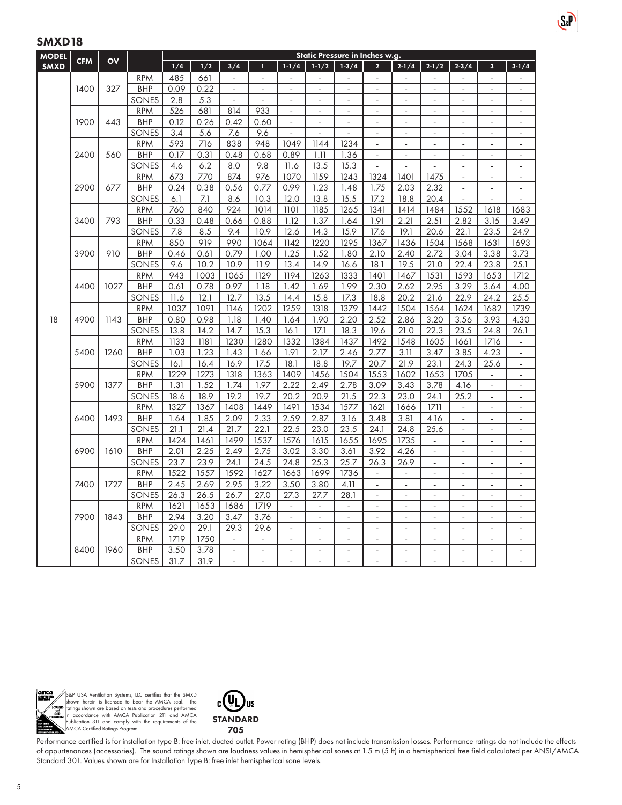| <b>MODEL</b> |            |              |                          |              |              |                          |                |                          |                          | Static Pressure in Inches w.g. |                          |                          |                          |                          |                |                          |
|--------------|------------|--------------|--------------------------|--------------|--------------|--------------------------|----------------|--------------------------|--------------------------|--------------------------------|--------------------------|--------------------------|--------------------------|--------------------------|----------------|--------------------------|
| <b>SMXD</b>  | <b>CFM</b> | OV           |                          | 1/4          | 1/2          | 3/4                      | п              | $1-1/4$                  | $1 - 1/2$                | $1 - 3/4$                      | $\overline{2}$           | $2 - 1/4$                | $2 - 1/2$                | $2 - 3/4$                | $\mathbf{3}$   | $3 - 1/4$                |
|              |            |              | <b>RPM</b>               | 485          | 661          | $\overline{a}$           |                |                          | ۳                        |                                |                          |                          |                          |                          |                |                          |
|              | 1400       | 327          | <b>BHP</b>               | 0.09         | 0.22         | $\bar{\phantom{a}}$      | $\sim$         | $\overline{\phantom{a}}$ | $\mathbf{r}$             | ä,                             | ä,                       | $\sim$                   | $\sim$                   | ÷,                       | ÷.             | $\overline{a}$           |
|              |            |              | SONES                    | 2.8          | 5.3          | $\bar{\phantom{a}}$      | $\overline{a}$ | $\bar{\phantom{a}}$      | $\mathbf{r}$             | ä,                             |                          | L.                       | ä,                       | ÷.                       | L.             | $\bar{\phantom{a}}$      |
|              |            |              | <b>RPM</b>               | 526          | 681          | 814                      | 933            | $\overline{a}$           | $\overline{a}$           | $\overline{a}$                 | $\overline{a}$           | $\overline{a}$           | $\overline{a}$           | $\overline{a}$           | ÷.             | ÷.                       |
|              | 1900       | 443          | <b>BHP</b>               | 0.12         | 0.26         | 0.42                     | 0.60           | $\overline{\phantom{a}}$ | $\overline{\phantom{a}}$ | ÷,                             | ä,                       | ÷,                       | $\overline{\phantom{a}}$ | ÷,                       | ä,             | $\blacksquare$           |
|              |            |              | SONES                    | 3.4          | 5.6          | 7.6                      | 9.6            |                          | ÷,                       |                                |                          | $\overline{a}$           | $\blacksquare$           | $\overline{a}$           | ٠              | $\overline{\phantom{a}}$ |
|              |            |              | <b>RPM</b>               | 593          | 716          | 838                      | 948            | 1049                     | 1144                     | 1234                           | $\overline{\phantom{a}}$ | $\overline{\phantom{a}}$ | $\blacksquare$           | $\blacksquare$           | ÷,             | $\blacksquare$           |
|              | 2400       | 560          | <b>BHP</b>               | 0.17         | 0.31         | 0.48                     | 0.68           | 0.89                     | 1.11                     | 1.36                           | $\overline{a}$           | ä,                       | $\overline{a}$           | ÷,                       | ÷.             | $\overline{a}$           |
|              |            |              | SONES                    | 4.6          | 6.2          | 8.0                      | 9.8            | 11.6                     | 13.5                     | 15.3                           | ÷.                       | ÷.                       |                          |                          | ٠              | $\sim$                   |
|              |            |              | <b>RPM</b>               | 673          | 770          | 874                      | 976            | 1070                     | 1159                     | 1243                           | 1324                     | 1401                     | 1475                     | ä,                       | $\blacksquare$ | $\blacksquare$           |
|              | 2900       | 677          | <b>BHP</b>               | 0.24         | 0.38         | 0.56                     | 0.77           | 0.99                     | 1.23                     | 1.48                           | 1.75                     | 2.03                     | 2.32                     | $\overline{\phantom{a}}$ | ä,             | $\overline{\phantom{a}}$ |
|              |            |              | SONES                    | 6.1          | 7.1          | 8.6                      | 10.3           | 12.0                     | 13.8                     | 15.5                           | 17.2                     | 18.8                     | 20.4                     | $\overline{\phantom{a}}$ | ä,             | ÷,                       |
|              |            |              | <b>RPM</b>               | 760          | 840          | 924                      | 1014           | 1101                     | 1185                     | 1265                           | 1341                     | 1414                     | 1484                     | 1552                     | 1618           | 1683                     |
| 3400         |            | 793          | <b>BHP</b>               | 0.33         | 0.48         | 0.66                     | 0.88           | 1.12                     | 1.37                     | 1.64                           | 1.91                     | 2.21                     | 2.51                     | 2.82                     | 3.15           | 3.49                     |
|              |            |              | SONES                    | 7.8          | 8.5          | 9.4                      | 10.9           | 12.6                     | 14.3                     | 15.9                           | 17.6                     | 19.1                     | 20.6                     | 22.1                     | 23.5           | 24.9                     |
|              |            |              | <b>RPM</b>               | 850          | 919          | 990                      | 1064           | 1142                     | 1220                     | 1295                           | 1367                     | 1436                     | 1504                     | 1568                     | 1631           | 1693                     |
|              | 3900       | 910          | <b>BHP</b>               | 0.46         | 0.61         | 0.79                     | 1.00           | 1.25                     | 1.52                     | 1.80                           | 2.10                     | 2.40                     | 2.72                     | 3.04                     | 3.38           | 3.73                     |
|              |            |              | SONES                    | 9.6          | 10.2         | 10.9                     | 11.9           | 13.4                     | 14.9                     | 16.6                           | 18.1                     | 19.5                     | 21.0                     | 22.4                     | 23.8           | 25.1                     |
|              |            |              | <b>RPM</b>               | 943          | 1003         | 1065                     | 1129           | 1194                     | 1263                     | 1333                           | 1401                     | 1467                     | 1531                     | 1593                     | 1653           | 1712                     |
|              | 4400       | 1027         | <b>BHP</b>               | 0.61         | 0.78<br>12.1 | 0.97<br>12.7             | 1.18<br>13.5   | 1.42                     | 1.69<br>15.8             | 1.99                           | 2.30                     | 2.62<br>20.2             | 2.95<br>21.6             | 3.29<br>22.9             | 3.64<br>24.2   | 4.00                     |
|              |            |              | SONES                    | 11.6<br>1037 | 1091         | 1146                     | 1202           | 14.4<br>1259             | 1318                     | 17.3<br>1379                   | 18.8<br>1442             | 1504                     | 1564                     | 1624                     |                | 25.5<br>1739             |
| 18           | 4900       | 1143         | <b>RPM</b><br><b>BHP</b> | 0.80         | 0.98         | 1.18                     | 1.40           | 1.64                     | 1.90                     | 2.20                           | 2.52                     | 2.86                     | 3.20                     | 3.56                     | 1682<br>3.93   | 4.30                     |
|              |            |              | SONES                    | 13.8         | 14.2         | 14.7                     | 15.3           | 16.1                     | 17.1                     | 18.3                           | 19.6                     | 21.0                     | 22.3                     | 23.5                     | 24.8           | 26.1                     |
|              |            |              | <b>RPM</b>               | 1133         | 1181         | 1230                     | 1280           | 1332                     | 1384                     | 1437                           | 1492                     | 1548                     | 1605                     | 1661                     | 1716           | $\blacksquare$           |
|              | 5400       | 1260         | <b>BHP</b>               | 1.03         | 1.23         | 1.43                     | 1.66           | 1.91                     | 2.17                     | 2.46                           | 2.77                     | 3.11                     | 3.47                     | 3.85                     | 4.23           | $\blacksquare$           |
|              |            |              | SONES                    | 16.1         | 16.4         | 16.9                     | 17.5           | 18.1                     | 18.8                     | 19.7                           | 20.7                     | 21.9                     | 23.1                     | 24.3                     | 25.6           | $\Box$                   |
|              |            |              | <b>RPM</b>               | 1229         | 1273         | 1318                     | 1363           | 1409                     | 1456                     | 1504                           | 1553                     | 1602                     | 1653                     | 1705                     | ٠              | $\overline{\phantom{a}}$ |
|              | 5900       | 1377         | <b>BHP</b>               | 1.31         | 1.52         | 1.74                     | 1.97           | 2.22                     | 2.49                     | 2.78                           | 3.09                     | 3.43                     | 3.78                     | 4.16                     | ÷.             | $\blacksquare$           |
|              |            |              | SONES                    | 18.6         | 18.9         | 19.2                     | 19.7           | 20.2                     | 20.9                     | 21.5                           | 22.3                     | 23.0                     | 24.1                     | 25.2                     | ÷,             | $\overline{\phantom{a}}$ |
|              |            |              | <b>RPM</b>               | 1327         | 1367         | 1408                     | 1449           | 1491                     | 1534                     | 1577                           | 1621                     | 1666                     | 1711                     |                          | ÷              | $\blacksquare$           |
|              | 6400       | 1493         | <b>BHP</b>               | 1.64         | 1.85         | 2.09                     | 2.33           | 2.59                     | 2.87                     | 3.16                           | 3.48                     | 3.81                     | 4.16                     | $\blacksquare$           | ÷,             | $\overline{\phantom{a}}$ |
|              |            |              | SONES                    | 21.1         | 21.4         | 21.7                     | 22.1           | 22.5                     | 23.0                     | 23.5                           | 24.1                     | 24.8                     | 25.6                     |                          |                | $\blacksquare$           |
|              |            |              | <b>RPM</b>               | 1424         | 1461         | 1499                     | 1537           | 1576                     | 1615                     | 1655                           | 1695                     | 1735                     | $\mathbb{L}$             | $\overline{\phantom{a}}$ | $\blacksquare$ | $\overline{\phantom{a}}$ |
|              | 6900       | 1610         | <b>BHP</b>               | 2.01         | 2.25         | 2.49                     | 2.75           | 3.02                     | 3.30                     | 3.61                           | 3.92                     | 4.26                     | $\Delta$                 | ÷,                       | ä,             | ä,                       |
|              |            |              | SONES                    | 23.7         | 23.9         | 24.1                     | 24.5           | 24.8                     | 25.3                     | 25.7                           | 26.3                     | 26.9                     | $\mathbf{r}$             | ÷.                       | ä,             | L.                       |
|              |            |              | <b>RPM</b>               | 1522         | 1557         | 1592                     | 1627           | 1663                     | 1699                     | 1736                           |                          | ÷,                       | $\overline{a}$           | ä,                       | ÷,             | $\blacksquare$           |
|              | 7400       | 1727         | <b>BHP</b>               | 2.45         | 2.69         | 2.95                     | 3.22           | 3.50                     | 3.80                     | 4.11                           |                          | ä,                       |                          |                          |                | $\sim$                   |
|              |            |              | SONES                    | 26.3         | 26.5         | 26.7                     | 27.0           | 27.3                     | 27.7                     | 28.1                           | $\overline{\phantom{a}}$ | $\sim$                   | $\blacksquare$           | $\bar{a}$                | $\bar{a}$      | $\bar{a}$                |
|              |            |              | <b>RPM</b>               | 1621         | 1653         | 1686                     | 1719           | $\sim$                   | $\overline{\phantom{a}}$ | $\overline{a}$                 |                          |                          |                          |                          |                |                          |
|              | 7900       | 1843         | <b>BHP</b>               | 2.94         | 3.20         | 3.47                     | 3.76           | $\omega$                 | $\sim$                   | L.                             | $\overline{a}$           | $\overline{a}$           | $\overline{a}$           | ÷                        | ÷.             | $\bar{\phantom{a}}$      |
|              |            |              | SONES                    | 29.0         | 29.1         | 29.3                     | 29.6           | $\blacksquare$           | $\blacksquare$           | ÷,                             |                          | ÷,                       | ÷,                       | ÷,                       | ÷,             | $\blacksquare$           |
|              |            |              | <b>RPM</b>               | 1719         | 1750         |                          |                | ÷,                       | ÷,                       | ä,                             |                          | ä,                       |                          |                          |                | ä,                       |
|              | 8400       | 1960         | <b>BHP</b>               | 3.50         | 3.78         | $\overline{\phantom{a}}$ | $\sim$         | $\overline{\phantom{a}}$ | ÷                        | ÷,                             | ٠                        | $\overline{\phantom{a}}$ | $\blacksquare$           | $\overline{\phantom{a}}$ | $\frac{1}{2}$  | $\overline{\phantom{a}}$ |
|              |            | <b>SONES</b> | 31.7                     | 31.9         |              |                          | ä,             |                          |                          |                                |                          |                          |                          |                          |                |                          |

 $S_{k}$ P



S&P USA Ventilation Systems, LLC certifies that the SMXD<br>shown herein is licensed to bear the AMCA seal. The<br>ratings shown are based on tests and procedures performed<br>in accordance with AMCA Publication 211 and AMCA<br>Public



Performance certified is for installation type B: free inlet, ducted outlet. Power rating (BHP) does not include transmission losses. Performance ratings do not include the effects of appurtenances (accessories). The sound ratings shown are loudness values in hemispherical sones at 1.5 m (5 ft) in a hemispherical free field calculated per ANSI/AMCA Standard 301. Values shown are for Installation Type B: free inlet hemispherical sone levels.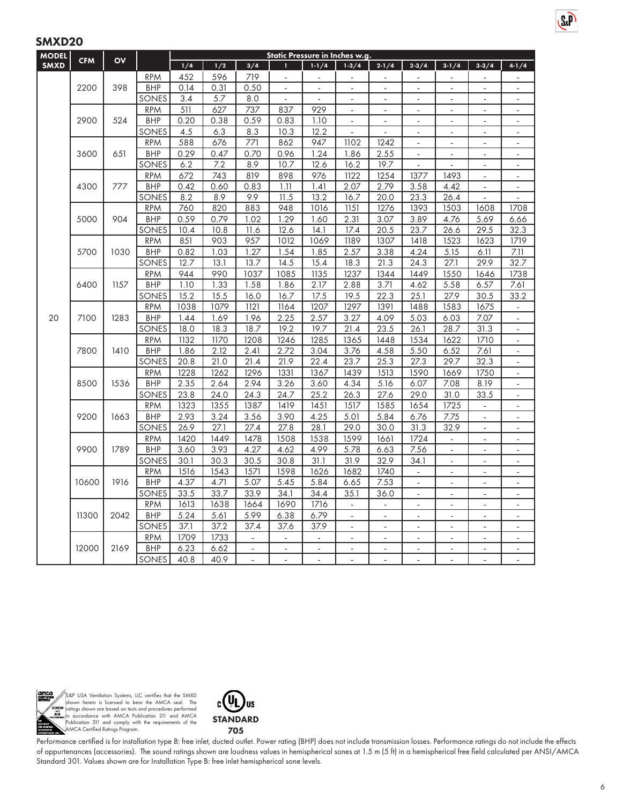| <b>MODEL</b> | <b>CFM</b> |              |            |                  |      |                          | Static Pressure in Inches w.g. |                          |                |                   |                          |                          |                          |                          |
|--------------|------------|--------------|------------|------------------|------|--------------------------|--------------------------------|--------------------------|----------------|-------------------|--------------------------|--------------------------|--------------------------|--------------------------|
| <b>SMXD</b>  |            | OV           |            | 1/4              | 1/2  | 3/4                      | п                              | $1 - 1/4$                | $1 - 3/4$      | $2 - 1/4$         | $2 - 3/4$                | $3 - 1/4$                | $3 - 3 / 4$              | $4 - 1/4$                |
|              |            |              | <b>RPM</b> | 452              | 596  | 719                      | $\blacksquare$                 |                          | $\overline{a}$ | ä,                | $\sim$                   |                          |                          |                          |
|              | 2200       | 398          | <b>BHP</b> | 0.14             | 0.31 | 0.50                     | $\Box$                         | $\blacksquare$           | $\blacksquare$ | $\blacksquare$    | $\blacksquare$           | $\blacksquare$           | $\blacksquare$           | $\overline{\phantom{a}}$ |
|              |            |              | SONES      | 3.4              | 5.7  | 8.0                      | $\mathbf{r}$                   | $\mathbf{r}$             |                | ÷,                | $\overline{a}$           | $\overline{a}$           | ÷.                       | $\overline{\phantom{a}}$ |
|              |            |              | <b>RPM</b> | $\overline{511}$ | 627  | 737                      | 837                            | 929                      | $\overline{a}$ | $\overline{a}$    | $\overline{a}$           | ä,                       | $\overline{a}$           | $\overline{\phantom{a}}$ |
|              | 2900       | 524          | <b>BHP</b> | 0.20             | 0.38 | 0.59                     | 0.83                           | 1.10                     | $\Box$         | $\Box$            | $\blacksquare$           | $\blacksquare$           | $\blacksquare$           | $\blacksquare$           |
|              |            |              | SONES      | 4.5              | 6.3  | 8.3                      | 10.3                           | 12.2                     |                |                   | $\sim$                   | $\overline{\phantom{a}}$ | ä,                       | -                        |
|              |            |              | <b>RPM</b> | 588              | 676  | 771                      | 862                            | 947                      | 1102           | 1242              | $\blacksquare$           | $\blacksquare$           | $\blacksquare$           | $\overline{\phantom{a}}$ |
|              | 3600       | 651          | <b>BHP</b> | 0.29             | 0.47 | 0.70                     | 0.96                           | 1.24                     | 1.86           | 2.55              | $\bar{\phantom{a}}$      | ä,                       | $\bar{\phantom{a}}$      | $\overline{\phantom{a}}$ |
|              |            |              | SONES      | 6.2              | 7.2  | 8.9                      | 10.7                           | 12.6                     | 16.2           | 19.7              | $\overline{a}$           | $\overline{a}$           | $\overline{a}$           | ä,                       |
|              |            |              | <b>RPM</b> | 672              | 743  | 819                      | 898                            | 976                      | 1122           | 1254              | 1377                     | 1493                     | $\blacksquare$           | $\overline{\phantom{0}}$ |
|              | 4300       | 777          | <b>BHP</b> | 0.42             | 0.60 | 0.83                     | 1.11                           | 1.41                     | 2.07           | 2.79              | 3.58                     | 4.42                     | L.                       | $\overline{a}$           |
|              |            |              | SONES      | 8.2              | 8.9  | 9.9                      | 11.5                           | 13.2                     | 16.7           | 20.0              | 23.3                     | 26.4                     | $\blacksquare$           | ÷,                       |
|              |            |              | <b>RPM</b> | 760              | 820  | 883                      | 948                            | 1016                     | 1151           | 1276              | 1393                     | 1503                     | 1608                     | 1708                     |
|              | 5000       | 904          | BHP        | 0.59             | 0.79 | 1.02                     | 1.29                           | 1.60                     | 2.31           | 3.07              | 3.89                     | 4.76                     | 5.69                     | 6.66                     |
|              |            |              | SONES      | 10.4             | 10.8 | 11.6                     | 12.6                           | 14.1                     | 17.4           | 20.5              | 23.7                     | 26.6                     | 29.5                     | 32.3                     |
|              |            |              | <b>RPM</b> | 851              | 903  | 957                      | 1012                           | 1069                     | 1189           | 1307              | 1418                     | 1523                     | 1623                     | 1719                     |
|              | 5700       | 1030         | <b>BHP</b> | 0.82             | 1.03 | 1.27                     | 1.54                           | 1.85                     | 2.57           | 3.38              | 4.24                     | 5.15                     | 6.11                     | 7.11                     |
|              |            |              | SONES      | 12.7             | 13.1 | 13.7                     | 14.5                           | 15.4                     | 18.3           | $21.\overline{3}$ | 24.3                     | 27.1                     | 29.9                     | 32.7                     |
|              |            | 1157<br>6400 | <b>RPM</b> | 944              | 990  | 1037                     | 1085                           | 1135                     | 1237           | 1344              | 1449                     | 1550                     | 1646                     | 1738                     |
|              |            |              | <b>BHP</b> | 1.10             | 1.33 | 1.58                     | 1.86                           | 2.17                     | 2.88           | 3.71              | 4.62                     | 5.58                     | 6.57                     | 7.61                     |
|              |            |              | SONES      | 15.2             | 15.5 | 16.0                     | 16.7                           | 17.5                     | 19.5           | 22.3              | 25.1                     | 27.9                     | 30.5                     | 33.2                     |
|              |            |              | <b>RPM</b> | 1038             | 1079 | 1121                     | 1164                           | 1207                     | 1297           | 1391              | 1488                     | 1583                     | 1675                     | $\blacksquare$           |
| 20           | 7100       | 1283         | <b>BHP</b> | 1.44             | 1.69 | 1.96                     | 2.25                           | 2.57                     | 3.27           | 4.09              | 5.03                     | 6.03                     | 7.07                     | $\overline{\phantom{0}}$ |
|              |            |              | SONES      | 18.0             | 18.3 | 18.7                     | 19.2                           | 19.7                     | 21.4           | 23.5              | 26.1                     | 28.7                     | 31.3                     | $\blacksquare$           |
|              |            | <b>RPM</b>   | 1132       | 1170             | 1208 | 1246                     | 1285                           | 1365                     | 1448           | 1534              | 1622                     | 1710                     | $\blacksquare$           |                          |
|              |            | 7800<br>1410 | <b>BHP</b> | 1.86             | 2.12 | 2.41                     | 2.72                           | 3.04                     | 3.76           | 4.58              | 5.50                     | 6.52                     | 7.61                     |                          |
|              |            |              | SONES      | 20.8             | 21.0 | 21.4                     | 21.9                           | 22.4                     | 23.7           | 25.3              | 27.3                     | 29.7                     | 32.3                     | ÷,                       |
|              |            |              | <b>RPM</b> | 1228             | 1262 | 1296                     | 1331                           | 1367                     | 1439           | 1513              | 1590                     | 1669                     | 1750                     | -                        |
|              | 8500       | 1536         | <b>BHP</b> | 2.35             | 2.64 | 2.94                     | 3.26                           | 3.60                     | 4.34           | 5.16              | 6.07                     | 7.08                     | 8.19                     | $\overline{\phantom{a}}$ |
|              |            |              | SONES      | 23.8             | 24.0 | 24.3                     | 24.7                           | 25.2                     | 26.3           | 27.6              | 29.0                     | 31.0                     | 33.5                     | $\blacksquare$           |
|              |            |              | <b>RPM</b> | 1323             | 1355 | 1387                     | 1419                           | 1451                     | 1517           | 1585              | 1654                     | 1725                     | $\overline{a}$           | L,                       |
|              | 9200       | 1663         | <b>BHP</b> | 2.93             | 3.24 | 3.56                     | 3.90                           | 4.25                     | 5.01           | 5.84              | 6.76                     | 7.75                     | $\overline{\phantom{a}}$ | $\blacksquare$           |
|              |            |              | SONES      | 26.9             | 27.1 | 27.4                     | 27.8                           | 28.1                     | 29.0           | 30.0              | 31.3                     | 32.9                     |                          |                          |
|              |            |              | <b>RPM</b> | 1420             | 1449 | 1478                     | 1508                           | 1538                     | 1599           | 1661              | 1724                     | $\blacksquare$           | $\blacksquare$           | $\overline{\phantom{a}}$ |
|              | 9900       | 1789         | <b>BHP</b> | 3.60             | 3.93 | 4.27                     | 4.62                           | 4.99                     | 5.78           | 6.63              | 7.56                     | ä,                       | ÷,                       | L.                       |
|              |            |              | SONES      | 30.1             | 30.3 | 30.5                     | 30.8                           | 31.1                     | 31.9           | 32.9              | 34.1                     | ä,                       | ÷,                       | $\overline{\phantom{a}}$ |
|              |            |              | <b>RPM</b> | 1516             | 1543 | 1571                     | 1598                           | 1626                     | 1682           | 1740              | $\blacksquare$           | $\overline{\phantom{a}}$ | $\overline{\phantom{a}}$ | $\overline{\phantom{a}}$ |
|              | 10600      | 1916         | BHP        | 4.37             | 4.71 | 5.07                     | 5.45                           | 5.84                     | 6.65           | 7.53              | $\overline{a}$           |                          | L.                       | L.                       |
|              |            |              | SONES      | 33.5             | 33.7 | 33.9                     | 34.1                           | 34.4                     | 35.1           | 36.0              | $\blacksquare$           | $\overline{\phantom{a}}$ | $\overline{\phantom{a}}$ | $\blacksquare$           |
|              |            |              | <b>RPM</b> | 1613             | 1638 | 1664                     | 1690                           | 1716                     | $\sim$         | ÷,                | $\overline{a}$           | $\overline{a}$           | ÷,                       | L.                       |
|              | 11300      | 2042         | <b>BHP</b> | 5.24             | 5.61 | 5.99                     | 6.38                           | 6.79                     | L.             | $\blacksquare$    | $\overline{a}$           | ä,                       | ä,                       | ä,                       |
|              |            |              | SONES      | 37.1             | 37.2 | 37.4                     | 37.6                           | 37.9                     | $\overline{a}$ | $\overline{a}$    | $\overline{a}$           | ÷,                       | $\overline{\phantom{a}}$ | $\blacksquare$           |
|              |            |              | <b>RPM</b> | 1709             | 1733 |                          | $\sim$                         |                          | ÷,             |                   |                          |                          |                          |                          |
|              | 12000      | 2169         | <b>BHP</b> | 6.23             | 6.62 | $\overline{\phantom{a}}$ | $\blacksquare$                 | $\overline{\phantom{a}}$ | $\blacksquare$ | $\blacksquare$    | $\overline{\phantom{a}}$ | $\overline{\phantom{a}}$ | $\overline{\phantom{a}}$ | ۰.                       |
|              |            |              | SONES      | 40.8             | 40.9 |                          | ä,                             | ÷,                       | ÷,             | ä,                | $\overline{a}$           | $\overline{a}$           | ÷,                       | L.                       |



S&P USA Ventilation Systems, LLC certifies that the SMXD<br>shown herein is licensed to bear the AMCA seal. The<br>ratings shown are based on tests and procedures performed<br>in accordance with AMCA Publication 211 and AMCA<br>Public



Performance certified is for installation type B: free inlet, ducted outlet. Power rating (BHP) does not include transmission losses. Performance ratings do not include the effects of appurtenances (accessories). The sound ratings shown are loudness values in hemispherical sones at 1.5 m (5 ft) in a hemispherical free field calculated per ANSI/AMCA Standard 301. Values shown are for Installation Type B: free inlet hemispherical sone levels.

 $S_{k}$ P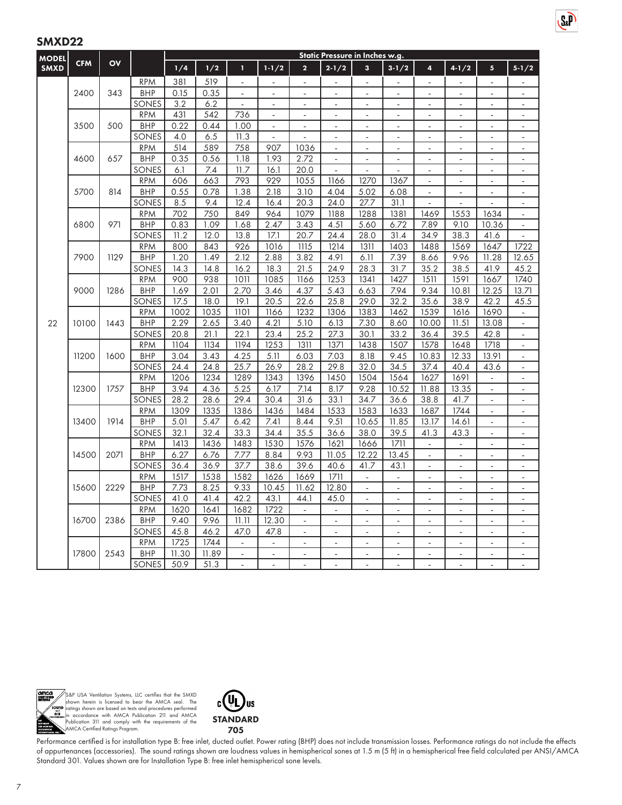| <b>MODEL</b> | <b>CFM</b> | OV   |                          | Static Pressure in Inches w.g. |              |                          |                          |                          |                          |                          |                          |                          |                          |                                  |                          |  |  |
|--------------|------------|------|--------------------------|--------------------------------|--------------|--------------------------|--------------------------|--------------------------|--------------------------|--------------------------|--------------------------|--------------------------|--------------------------|----------------------------------|--------------------------|--|--|
| <b>SMXD</b>  |            |      |                          | 1/4                            | 1/2          | T                        | $1 - 1/2$                | $\overline{\mathbf{2}}$  | $2 - 1/2$                | 3                        | $3 - 1/2$                | 4                        | $4 - 1/2$                | $\overline{\mathbf{5}}$          | $5 - 1/2$                |  |  |
|              |            |      | <b>RPM</b>               | 381                            | 519          | $\blacksquare$           |                          |                          |                          |                          | ÷,                       | $\blacksquare$           |                          |                                  |                          |  |  |
|              | 2400       | 343  | <b>BHP</b>               | 0.15                           | 0.35         | $\bar{\phantom{a}}$      |                          |                          |                          |                          |                          | $\sim$                   |                          |                                  |                          |  |  |
|              |            |      | SONES                    | 3.2                            | 6.2          | $\overline{\phantom{a}}$ | $\blacksquare$           | ÷,                       | $\overline{\phantom{a}}$ | $\bar{a}$                | $\sim$                   | $\overline{\phantom{a}}$ | $\overline{\phantom{a}}$ | $\overline{\phantom{a}}$         | $\sim$                   |  |  |
|              |            |      | <b>RPM</b>               | 431                            | 542          | 736                      |                          |                          | ä,                       |                          | L,                       | ä,                       |                          | ä,                               | ä,                       |  |  |
|              | 3500       | 500  | <b>BHP</b>               | 0.22                           | 0.44         | 1.00                     | $\overline{\phantom{a}}$ | $\overline{a}$           | $\overline{\phantom{a}}$ | ÷,                       | $\overline{\phantom{a}}$ | $\overline{\phantom{a}}$ | ÷,                       | $\overline{\phantom{a}}$         | $\overline{\phantom{a}}$ |  |  |
|              |            |      | SONES                    | 4.0                            | 6.5          | 11.3                     | $\mathbf{r}$             |                          | $\sim$                   | $\overline{a}$           | ÷,                       | ÷.                       | $\sim$                   | $\overline{\phantom{a}}$         | $\sim$                   |  |  |
|              |            |      | <b>RPM</b>               | 514                            | 589          | 758                      | 907                      | 1036                     | $\bar{\phantom{a}}$      |                          |                          | $\overline{a}$           |                          |                                  | ÷,                       |  |  |
|              | 4600       | 657  | <b>BHP</b>               | 0.35                           | 0.56         | 1.18                     | 1.93                     | 2.72                     | $\blacksquare$           | $\bar{a}$                | ÷,                       | $\blacksquare$           | ٠                        | $\overline{\phantom{a}}$         | ÷.                       |  |  |
|              |            |      | SONES                    | 6.1                            | 7.4          | 11.7                     | 16.1                     | 20.0                     | $\blacksquare$           | ÷,                       |                          | ÷,                       |                          |                                  | $\blacksquare$           |  |  |
|              |            |      | <b>RPM</b>               | 606                            | 663          | 793                      | 929                      | 1055                     | 1166                     | 1270                     | 1367                     | $\overline{\phantom{a}}$ | ÷.                       | $\omega$                         | $\omega$                 |  |  |
|              | 5700       | 814  | <b>BHP</b>               | 0.55                           | 0.78         | 1.38                     | 2.18                     | 3.10                     | 4.04                     | 5.02                     | 6.08                     | $\overline{\phantom{a}}$ | ä,                       | L.                               | $\blacksquare$           |  |  |
|              |            |      | SONES                    | 8.5                            | 9.4          | 12.4                     | 16.4                     | 20.3                     | 24.0                     | 27.7                     | 31.1                     |                          |                          |                                  | $\overline{\phantom{a}}$ |  |  |
|              |            |      | <b>RPM</b>               | 702                            | 750          | 849                      | 964                      | 1079                     | 1188                     | 1288                     | 1381                     | 1469                     | 1553                     | 1634                             | $\blacksquare$           |  |  |
|              | 6800       | 971  | <b>BHP</b>               | 0.83                           | 1.09         | 1.68                     | 2.47                     | 3.43                     | 4.51                     | 5.60                     | 6.72                     | 7.89                     | 9.10                     | 10.36                            | $\overline{\phantom{a}}$ |  |  |
|              |            |      | SONES                    | 11.2                           | 12.0         | 13.8                     | 17.1                     | 20.7                     | 24.4                     | 28.0                     | 31.4                     | 34.9                     | 38.3                     | 41.6                             | ÷,                       |  |  |
|              |            |      | <b>RPM</b>               | 800                            | 843          | 926                      | 1016                     | 1115                     | 1214                     | 1311                     | 1403                     | 1488                     | 1569                     | 1647                             | 1722                     |  |  |
|              | 7900       | 1129 | <b>BHP</b>               | 1.20                           | 1.49         | 2.12                     | 2.88                     | 3.82                     | 4.91                     | 6.11                     | 7.39                     | 8.66                     | 9.96                     | 11.28                            | 12.65                    |  |  |
|              |            |      | SONES                    | 14.3                           | 14.8         | 16.2                     | 18.3                     | 21.5                     | 24.9                     | 28.3                     | 31.7                     | 35.2                     | 38.5                     | 41.9                             | 45.2                     |  |  |
|              |            |      | <b>RPM</b>               | 900                            | 938          | 1011                     | 1085                     | 1166                     | 1253                     | 1341                     | 1427                     | 1511                     | 1591                     | 1667                             | 1740                     |  |  |
|              | 9000       | 1286 | <b>BHP</b>               | 1.69                           | 2.01         | 2.70                     | 3.46                     | 4.37                     | 5.43                     | 6.63                     | 7.94                     | 9.34                     | 10.81                    | 12.25                            | 13.71                    |  |  |
|              |            |      | SONES                    | 17.5                           | 18.0         | 19.1                     | 20.5                     | 22.6                     | 25.8                     | 29.0                     | 32.2                     | 35.6                     | 38.9                     | 42.2                             | 45.5                     |  |  |
|              |            |      | <b>RPM</b>               | 1002                           | 1035         | 1101                     | 1166                     | 1232                     | 1306                     | 1383                     | 1462                     | 1539                     | 1616                     | 1690                             | $\overline{\phantom{a}}$ |  |  |
| 22           | 10100      | 1443 | <b>BHP</b>               | 2.29                           | 2.65         | 3.40                     | 4.21                     | 5.10                     | 6.13                     | 7.30                     | 8.60                     | 10.00                    | 11.51                    | 13.08                            | ÷.                       |  |  |
|              |            |      | SONES                    | 20.8                           | 21.1         | 22.1                     | 23.4                     | 25.2<br>1311             | 27.3<br>1371             | 30.1                     | 33.2<br>1507             | 36.4                     | 39.5                     | 42.8<br>1718                     | $\overline{a}$           |  |  |
|              | 11200      | 1600 | <b>RPM</b><br><b>BHP</b> | 1104<br>3.04                   | 1134<br>3.43 | 1194<br>4.25             | 1253<br>5.11             | 6.03                     | 7.03                     | 1438<br>8.18             | 9.45                     | 1578<br>10.83            | 1648<br>12.33            | 13.91                            | $\blacksquare$           |  |  |
|              |            |      | SONES                    | 24.4                           | 24.8         | 25.7                     | 26.9                     | 28.2                     | 29.8                     | 32.0                     | 34.5                     |                          | 40.4                     |                                  | $\blacksquare$           |  |  |
|              |            |      | <b>RPM</b>               | 1206                           | 1234         | 1289                     | 1343                     | 1396                     | 1450                     | 1504                     | 1564                     | 37.4<br>1627             | 1691                     | 43.6<br>$\overline{\phantom{a}}$ | $\blacksquare$           |  |  |
|              | 12300      | 1757 | <b>BHP</b>               | 3.94                           | 4.36         | 5.25                     | 6.17                     | 7.14                     | 8.17                     | 9.28                     | 10.52                    | 11.88                    | 13.35                    | L.                               | $\blacksquare$<br>÷,     |  |  |
|              |            |      | SONES                    | 28.2                           | 28.6         | 29.4                     | 30.4                     | 31.6                     | 33.1                     | 34.7                     | 36.6                     | 38.8                     | 41.7                     | $\blacksquare$                   | $\blacksquare$           |  |  |
|              |            |      | <b>RPM</b>               | 1309                           | 1335         | 1386                     | 1436                     | 1484                     | 1533                     | 1583                     | 1633                     | 1687                     | 1744                     |                                  | L.                       |  |  |
|              | 13400      | 1914 | <b>BHP</b>               | 5.01                           | 5.47         | 6.42                     | 7.41                     | 8.44                     | 9.51                     | 10.65                    | 11.85                    | 13.17                    | 14.61                    | $\overline{\phantom{a}}$         | $\blacksquare$           |  |  |
|              |            |      | SONES                    | 32.1                           | 32.4         | 33.3                     | 34.4                     | 35.5                     | 36.6                     | 38.0                     | 39.5                     | 41.3                     | 43.3                     | ÷,                               | $\overline{\phantom{a}}$ |  |  |
|              |            |      | <b>RPM</b>               | 1413                           | 1436         | 1483                     | 1530                     | 1576                     | 1621                     | 1666                     | 1711                     | $\omega$                 | ÷.                       | $\omega$                         | $\omega$                 |  |  |
|              | 14500      | 2071 | <b>BHP</b>               | 6.27                           | 6.76         | 7.77                     | 8.84                     | 9.93                     | 11.05                    | 12.22                    | 13.45                    | $\omega$                 | $\overline{a}$           | L                                | $\sim$                   |  |  |
|              |            |      | SONES                    | 36.4                           | 36.9         | 37.7                     | 38.6                     | 39.6                     | 40.6                     | 41.7                     | 43.1                     | $\blacksquare$           |                          |                                  | $\blacksquare$           |  |  |
|              |            |      | <b>RPM</b>               | 1517                           | 1538         | 1582                     | 1626                     | 1669                     | 1711                     | $\Box$                   | $\Box$                   | $\Box$                   | $\overline{\phantom{a}}$ | $\blacksquare$                   | $\Box$                   |  |  |
|              | 15600      | 2229 | <b>BHP</b>               | 7.73                           | 8.25         | 9.33                     | 10.45                    | 11.62                    | 12.80                    | $\sim$                   |                          | $\sim$                   |                          |                                  | $\overline{\phantom{a}}$ |  |  |
|              |            |      | SONES                    | 41.0                           | 41.4         | 42.2                     | 43.1                     | 44.1                     | 45.0                     | $\blacksquare$           | $\overline{\phantom{a}}$ | $\blacksquare$           | $\overline{\phantom{a}}$ | $\blacksquare$                   | $\overline{\phantom{a}}$ |  |  |
|              |            |      | <b>RPM</b>               | 1620                           | 1641         | 1682                     | 1722                     | $\Box$                   | $\blacksquare$           | $\blacksquare$           | ÷,                       | $\blacksquare$           | ÷.                       | $\overline{\phantom{a}}$         | $\blacksquare$           |  |  |
|              | 16700      | 2386 | <b>BHP</b>               | 9.40                           | 9.96         | 11.11                    | 12.30                    |                          |                          |                          |                          | ÷                        |                          |                                  | $\overline{a}$           |  |  |
|              |            |      | SONES                    | 45.8                           | 46.2         | 47.0                     | 47.8                     | $\overline{\phantom{a}}$ | $\blacksquare$           | $\overline{\phantom{a}}$ | $\overline{\phantom{a}}$ | $\overline{\phantom{a}}$ | ÷,                       | ÷,                               | $\overline{\phantom{a}}$ |  |  |
|              |            |      | <b>RPM</b>               | 1725                           | 1744         | $\sim$                   |                          |                          | $\blacksquare$           |                          |                          | $\sim$                   |                          |                                  | $\overline{\phantom{a}}$ |  |  |
|              | 17800      | 2543 | <b>BHP</b>               | 11.30                          | 11.89        | $\blacksquare$           | $\overline{\phantom{a}}$ | $\overline{\phantom{a}}$ | $\overline{\phantom{a}}$ | $\overline{\phantom{a}}$ | $\overline{\phantom{a}}$ | $\blacksquare$           | $\blacksquare$           | $\overline{\phantom{a}}$         | $\overline{\phantom{a}}$ |  |  |
|              |            |      | SONES                    | 50.9                           | 51.3         |                          |                          |                          |                          |                          |                          |                          |                          |                                  |                          |  |  |

 $S_{\alpha}P$ 



S&P USA Ventilation Systems, LLC certifies that the SMXD<br>shown herein is licensed to bear the AMCA seal. The<br>ratings shown are based on tests and procedures performed<br>in accordance with AMCA Publication 211 and AMCA<br>Public



Performance certified is for installation type B: free inlet, ducted outlet. Power rating (BHP) does not include transmission losses. Performance ratings do not include the effects of appurtenances (accessories). The sound ratings shown are loudness values in hemispherical sones at 1.5 m (5 ft) in a hemispherical free field calculated per ANSI/AMCA Standard 301. Values shown are for Installation Type B: free inlet hemispherical sone levels.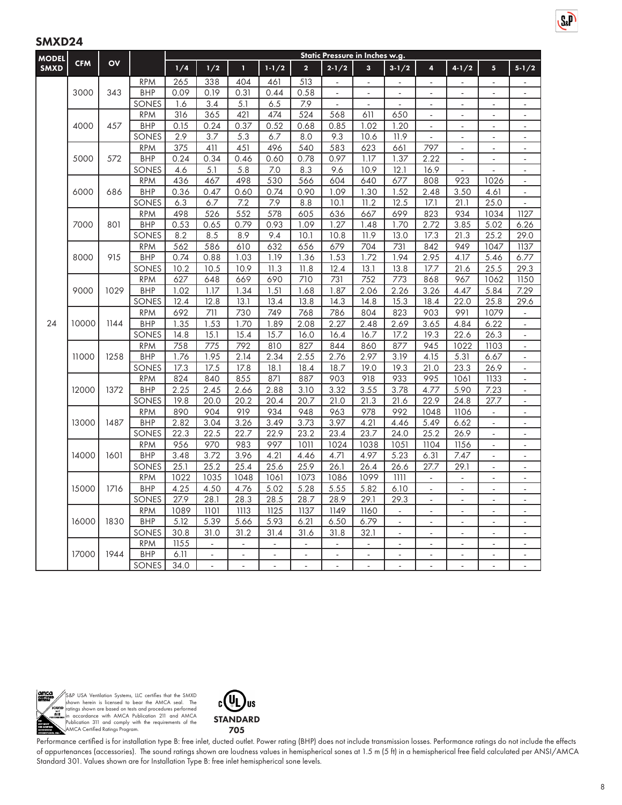| $1 - 1/2$<br><b>SMXD</b><br>1/4<br>1/2<br>T<br>$\overline{\mathbf{2}}$<br>$2 - 1/2$<br>$\mathbf{3}$<br>$3 - 1/2$<br>$4 - 1/2$<br>$5\phantom{.0}$<br>$5 - 1/2$<br>4<br>265<br>513<br><b>RPM</b><br>338<br>404<br>461<br>$\overline{a}$<br>$\overline{a}$<br>$\overline{a}$<br>3000<br><b>BHP</b><br>0.09<br>0.19<br>0.44<br>0.58<br>343<br>0.31<br>÷,<br>$\overline{a}$<br>6.5<br>SONES<br>3.4<br>5.1<br>7.9<br>1.6<br>$\blacksquare$<br>÷,<br>÷,<br>$\blacksquare$<br>÷.<br>$\overline{a}$<br>$\overline{\phantom{a}}$<br>316<br>474<br>524<br>568<br><b>RPM</b><br>365<br>421<br>611<br>650<br>÷,<br>ä,<br>ä,<br>0.15<br>0.52<br>4000<br>457<br><b>BHP</b><br>0.24<br>0.37<br>0.68<br>0.85<br>1.02<br>1.20<br>$\Box$<br>ä,<br>$\omega$<br>$\blacksquare$<br>2.9<br>3.7<br>SONES<br>5.3<br>6.7<br>8.0<br>9.3<br>10.6<br>11.9<br>$\blacksquare$<br>÷,<br>÷,<br>375<br>411<br>451<br>496<br>540<br>583<br>623<br>797<br><b>RPM</b><br>661<br>÷.<br>÷.<br><b>BHP</b><br>5000<br>572<br>0.24<br>0.34<br>0.46<br>0.60<br>0.78<br>0.97<br>1.17<br>1.37<br>2.22<br>$\overline{\phantom{a}}$<br>÷,<br>÷,<br>5.1<br>7.0<br>SONES<br>4.6<br>5.8<br>8.3<br>10.9<br>12.1<br>16.9<br>9.6<br>$\overline{\phantom{a}}$<br>436<br>530<br>640<br>677<br>923<br><b>RPM</b><br>467<br>498<br>566<br>604<br>808<br>1026<br>$\blacksquare$<br>6000<br><b>BHP</b><br>0.36<br>0.74<br>0.90<br>1.09<br>1.30<br>3.50<br>686<br>0.47<br>0.60<br>1.52<br>2.48<br>4.61<br>$\blacksquare$<br>6.3<br>7.9<br>12.5<br>17.1<br>25.0<br>SONES<br>6.7<br>7.2<br>8.8<br>10.1<br>11.2<br>21.1<br>526<br>578<br><b>RPM</b><br>498<br>552<br>605<br>636<br>667<br>699<br>823<br>934<br>1034<br>1127<br><b>BHP</b><br>0.53<br>0.93<br>1.27<br>3.85<br>5.02<br>6.26<br>7000<br>801<br>0.65<br>0.79<br>1.09<br>1.48<br>1.70<br>2.72<br>8.2<br>8.5<br>9.4<br>11.9<br>13.0<br>21.3<br>25.2<br>29.0<br>SONES<br>8.9<br>10.1<br>10.8<br>17.3<br>562<br>586<br>632<br>656<br>679<br>704<br>731<br>842<br>949<br>1047<br>1137<br><b>RPM</b><br>610<br>915<br><b>BHP</b><br>0.74<br>0.88<br>1.03<br>1.19<br>1.36<br>1.53<br>1.72<br>1.94<br>2.95<br>4.17<br>5.46<br>6.77<br>8000<br>10.5<br>25.5<br>SONES<br>10.2<br>10.9<br>11.3<br>11.8<br>12.4<br>13.1<br>13.8<br>17.7<br>21.6<br>29.3<br>752<br>1062<br>1150<br><b>RPM</b><br>627<br>648<br>669<br>690<br>710<br>731<br>773<br>868<br>967<br>9000<br>1029<br><b>BHP</b><br>1.02<br>1.34<br>1.51<br>1.87<br>2.06<br>2.26<br>4.47<br>5.84<br>7.29<br>1.17<br>1.68<br>3.26<br>12.4<br>12.8<br>13.4<br>13.8<br>$\overline{1}4.8$<br>15.3<br>18.4<br>25.8<br>SONES<br>13.1<br>14.3<br>22.0<br>29.6<br><b>RPM</b><br>692<br>711<br>730<br>749<br>768<br>786<br>804<br>823<br>903<br>991<br>1079<br>÷,<br>24<br>10000<br>1144<br><b>BHP</b><br>1.89<br>2.27<br>2.48<br>2.69<br>1.35<br>1.53<br>1.70<br>2.08<br>3.65<br>4.84<br>6.22<br>÷,<br>15.4<br>15.7<br>SONES<br>14.8<br>15.1<br>16.0<br>16.4<br>16.7<br>17.2<br>19.3<br>22.6<br>26.3<br>÷,<br>810<br><b>RPM</b><br>758<br>775<br>792<br>827<br>844<br>860<br>877<br>945<br>1022<br>1103<br>$\overline{\phantom{a}}$<br>11000<br>1258<br><b>BHP</b><br>1.76<br>1.95<br>2.14<br>2.34<br>2.55<br>2.97<br>3.19<br>5.31<br>2.76<br>4.15<br>6.67<br>$\overline{\phantom{a}}$<br>23.3<br>SONES<br>17.3<br>17.5<br>17.8<br>18.1<br>18.4<br>19.0<br>19.3<br>21.0<br>26.9<br>18.7<br>$\blacksquare$<br>824<br>855<br>871<br>887<br>903<br>918<br>933<br>995<br>1061<br>1133<br><b>RPM</b><br>840<br><b>BHP</b><br>2.25<br>2.88<br>3.32<br>3.55<br>7.23<br>1372<br>2.45<br>2.66<br>3.10<br>3.78<br>4.77<br>5.90<br>12000<br>$\overline{a}$<br>19.8<br>21.3<br>21.6<br>SONES<br>20.0<br>20.2<br>20.4<br>20.7<br>21.0<br>22.9<br>24.8<br>27.7<br>$\blacksquare$<br><b>RPM</b><br>890<br>904<br>919<br>934<br>948<br>963<br>978<br>992<br>1106<br>1048<br>$\blacksquare$<br><b>BHP</b><br>2.82<br>3.49<br>3.73<br>3.97<br>4.21<br>6.62<br>13000<br>1487<br>3.04<br>3.26<br>4.46<br>5.49<br>÷,<br>$\blacksquare$<br>SONES<br>22.3<br>22.5<br>22.7<br>22.9<br>23.2<br>23.4<br>23.7<br>24.0<br>25.2<br>26.9<br>$\overline{\phantom{a}}$<br>956<br>970<br>983<br>997<br>1011<br>1024<br>1038<br>1051<br>1104<br>1156<br><b>RPM</b><br>$\omega$<br>$\overline{a}$<br>14000<br>1601<br><b>BHP</b><br>3.48<br>3.72<br>3.96<br>4.21<br>4.97<br>5.23<br>7.47<br>4.46<br>4.71<br>6.31<br>L.<br>$\overline{\phantom{a}}$<br>25.9<br>SONES<br>25.1<br>25.2<br>25.4<br>25.6<br>26.1<br>26.4<br>26.6<br>29.1<br>27.7<br>$\overline{a}$<br><b>RPM</b><br>1022<br>1035<br>1061<br>1073<br>1099<br>1111<br>1048<br>1086<br>$\blacksquare$<br>÷,<br>$\blacksquare$<br>÷,<br>4.25<br>5.02<br>5.28<br>5.55<br>5.82<br>15000<br>1716<br><b>BHP</b><br>4.50<br>4.76<br>6.10<br>27.9<br>29.1<br>SONES<br>28.1<br>28.3<br>28.5<br>28.7<br>28.9<br>29.3<br>$\overline{\phantom{a}}$<br>$\overline{\phantom{a}}$<br>$\sim$<br>÷,<br>1089<br>1125<br><b>RPM</b><br>1101<br>1113<br>1137<br>1149<br>1160<br>$\overline{a}$<br>L.<br>16000<br>1830<br><b>BHP</b><br>5.12<br>5.39<br>5.93<br>6.21<br>6.50<br>6.79<br>5.66<br>$\overline{\phantom{a}}$<br>÷,<br>$\overline{a}$<br>$\mathbf{r}$<br>$\overline{a}$<br>SONES<br>31.0<br>31.2<br>31.4<br>31.6<br>32.1<br>30.8<br>31.8<br>$\overline{\phantom{a}}$<br>$\sim$<br>ä,<br>$\overline{\phantom{a}}$<br>$\overline{\phantom{a}}$<br>1155<br><b>RPM</b><br><b>BHP</b><br>6.11<br>17000<br>1944<br>÷,<br>$\blacksquare$<br>$\overline{\phantom{a}}$<br>$\blacksquare$<br>$\blacksquare$<br>÷,<br>÷,<br>$\mathbb{Z}^2$<br>÷,<br>$\overline{\phantom{a}}$<br>$\overline{\phantom{a}}$ | <b>MODEL</b> | <b>CFM</b> | OV |       | Static Pressure in Inches w.g. |  |  |  |  |  |  |  |  |  |  |  |  |  |
|---------------------------------------------------------------------------------------------------------------------------------------------------------------------------------------------------------------------------------------------------------------------------------------------------------------------------------------------------------------------------------------------------------------------------------------------------------------------------------------------------------------------------------------------------------------------------------------------------------------------------------------------------------------------------------------------------------------------------------------------------------------------------------------------------------------------------------------------------------------------------------------------------------------------------------------------------------------------------------------------------------------------------------------------------------------------------------------------------------------------------------------------------------------------------------------------------------------------------------------------------------------------------------------------------------------------------------------------------------------------------------------------------------------------------------------------------------------------------------------------------------------------------------------------------------------------------------------------------------------------------------------------------------------------------------------------------------------------------------------------------------------------------------------------------------------------------------------------------------------------------------------------------------------------------------------------------------------------------------------------------------------------------------------------------------------------------------------------------------------------------------------------------------------------------------------------------------------------------------------------------------------------------------------------------------------------------------------------------------------------------------------------------------------------------------------------------------------------------------------------------------------------------------------------------------------------------------------------------------------------------------------------------------------------------------------------------------------------------------------------------------------------------------------------------------------------------------------------------------------------------------------------------------------------------------------------------------------------------------------------------------------------------------------------------------------------------------------------------------------------------------------------------------------------------------------------------------------------------------------------------------------------------------------------------------------------------------------------------------------------------------------------------------------------------------------------------------------------------------------------------------------------------------------------------------------------------------------------------------------------------------------------------------------------------------------------------------------------------------------------------------------------------------------------------------------------------------------------------------------------------------------------------------------------------------------------------------------------------------------------------------------------------------------------------------------------------------------------------------------------------------------------------------------------------------------------------------------------------------------------------------------------------------------------------------------------------------------------------------------------------------------------------------------------------------------------------------------------------------------------------------------------------------------------------------------------------------------------------------------------------------------------------------------------------------------------------------------------------------------------------------------------------------------------------------------------------------------------------------------------------------------------------------------------------------------------------------------------------------------------------------------------------------------------------------------------------------------------------------------------------------------------------------------------------------------------------------------------------------------------------------------------------------------------------------------------------------------------------------------------------------------------------------------------------------------------------------------------------------------------------------------------------------------------|--------------|------------|----|-------|--------------------------------|--|--|--|--|--|--|--|--|--|--|--|--|--|
|                                                                                                                                                                                                                                                                                                                                                                                                                                                                                                                                                                                                                                                                                                                                                                                                                                                                                                                                                                                                                                                                                                                                                                                                                                                                                                                                                                                                                                                                                                                                                                                                                                                                                                                                                                                                                                                                                                                                                                                                                                                                                                                                                                                                                                                                                                                                                                                                                                                                                                                                                                                                                                                                                                                                                                                                                                                                                                                                                                                                                                                                                                                                                                                                                                                                                                                                                                                                                                                                                                                                                                                                                                                                                                                                                                                                                                                                                                                                                                                                                                                                                                                                                                                                                                                                                                                                                                                                                                                                                                                                                                                                                                                                                                                                                                                                                                                                                                                                                                                                                                                                                                                                                                                                                                                                                                                                                                                                                                                                                                                                             |              |            |    |       |                                |  |  |  |  |  |  |  |  |  |  |  |  |  |
|                                                                                                                                                                                                                                                                                                                                                                                                                                                                                                                                                                                                                                                                                                                                                                                                                                                                                                                                                                                                                                                                                                                                                                                                                                                                                                                                                                                                                                                                                                                                                                                                                                                                                                                                                                                                                                                                                                                                                                                                                                                                                                                                                                                                                                                                                                                                                                                                                                                                                                                                                                                                                                                                                                                                                                                                                                                                                                                                                                                                                                                                                                                                                                                                                                                                                                                                                                                                                                                                                                                                                                                                                                                                                                                                                                                                                                                                                                                                                                                                                                                                                                                                                                                                                                                                                                                                                                                                                                                                                                                                                                                                                                                                                                                                                                                                                                                                                                                                                                                                                                                                                                                                                                                                                                                                                                                                                                                                                                                                                                                                             |              |            |    |       |                                |  |  |  |  |  |  |  |  |  |  |  |  |  |
|                                                                                                                                                                                                                                                                                                                                                                                                                                                                                                                                                                                                                                                                                                                                                                                                                                                                                                                                                                                                                                                                                                                                                                                                                                                                                                                                                                                                                                                                                                                                                                                                                                                                                                                                                                                                                                                                                                                                                                                                                                                                                                                                                                                                                                                                                                                                                                                                                                                                                                                                                                                                                                                                                                                                                                                                                                                                                                                                                                                                                                                                                                                                                                                                                                                                                                                                                                                                                                                                                                                                                                                                                                                                                                                                                                                                                                                                                                                                                                                                                                                                                                                                                                                                                                                                                                                                                                                                                                                                                                                                                                                                                                                                                                                                                                                                                                                                                                                                                                                                                                                                                                                                                                                                                                                                                                                                                                                                                                                                                                                                             |              |            |    |       |                                |  |  |  |  |  |  |  |  |  |  |  |  |  |
|                                                                                                                                                                                                                                                                                                                                                                                                                                                                                                                                                                                                                                                                                                                                                                                                                                                                                                                                                                                                                                                                                                                                                                                                                                                                                                                                                                                                                                                                                                                                                                                                                                                                                                                                                                                                                                                                                                                                                                                                                                                                                                                                                                                                                                                                                                                                                                                                                                                                                                                                                                                                                                                                                                                                                                                                                                                                                                                                                                                                                                                                                                                                                                                                                                                                                                                                                                                                                                                                                                                                                                                                                                                                                                                                                                                                                                                                                                                                                                                                                                                                                                                                                                                                                                                                                                                                                                                                                                                                                                                                                                                                                                                                                                                                                                                                                                                                                                                                                                                                                                                                                                                                                                                                                                                                                                                                                                                                                                                                                                                                             |              |            |    |       |                                |  |  |  |  |  |  |  |  |  |  |  |  |  |
|                                                                                                                                                                                                                                                                                                                                                                                                                                                                                                                                                                                                                                                                                                                                                                                                                                                                                                                                                                                                                                                                                                                                                                                                                                                                                                                                                                                                                                                                                                                                                                                                                                                                                                                                                                                                                                                                                                                                                                                                                                                                                                                                                                                                                                                                                                                                                                                                                                                                                                                                                                                                                                                                                                                                                                                                                                                                                                                                                                                                                                                                                                                                                                                                                                                                                                                                                                                                                                                                                                                                                                                                                                                                                                                                                                                                                                                                                                                                                                                                                                                                                                                                                                                                                                                                                                                                                                                                                                                                                                                                                                                                                                                                                                                                                                                                                                                                                                                                                                                                                                                                                                                                                                                                                                                                                                                                                                                                                                                                                                                                             |              |            |    |       |                                |  |  |  |  |  |  |  |  |  |  |  |  |  |
|                                                                                                                                                                                                                                                                                                                                                                                                                                                                                                                                                                                                                                                                                                                                                                                                                                                                                                                                                                                                                                                                                                                                                                                                                                                                                                                                                                                                                                                                                                                                                                                                                                                                                                                                                                                                                                                                                                                                                                                                                                                                                                                                                                                                                                                                                                                                                                                                                                                                                                                                                                                                                                                                                                                                                                                                                                                                                                                                                                                                                                                                                                                                                                                                                                                                                                                                                                                                                                                                                                                                                                                                                                                                                                                                                                                                                                                                                                                                                                                                                                                                                                                                                                                                                                                                                                                                                                                                                                                                                                                                                                                                                                                                                                                                                                                                                                                                                                                                                                                                                                                                                                                                                                                                                                                                                                                                                                                                                                                                                                                                             |              |            |    |       |                                |  |  |  |  |  |  |  |  |  |  |  |  |  |
|                                                                                                                                                                                                                                                                                                                                                                                                                                                                                                                                                                                                                                                                                                                                                                                                                                                                                                                                                                                                                                                                                                                                                                                                                                                                                                                                                                                                                                                                                                                                                                                                                                                                                                                                                                                                                                                                                                                                                                                                                                                                                                                                                                                                                                                                                                                                                                                                                                                                                                                                                                                                                                                                                                                                                                                                                                                                                                                                                                                                                                                                                                                                                                                                                                                                                                                                                                                                                                                                                                                                                                                                                                                                                                                                                                                                                                                                                                                                                                                                                                                                                                                                                                                                                                                                                                                                                                                                                                                                                                                                                                                                                                                                                                                                                                                                                                                                                                                                                                                                                                                                                                                                                                                                                                                                                                                                                                                                                                                                                                                                             |              |            |    |       |                                |  |  |  |  |  |  |  |  |  |  |  |  |  |
|                                                                                                                                                                                                                                                                                                                                                                                                                                                                                                                                                                                                                                                                                                                                                                                                                                                                                                                                                                                                                                                                                                                                                                                                                                                                                                                                                                                                                                                                                                                                                                                                                                                                                                                                                                                                                                                                                                                                                                                                                                                                                                                                                                                                                                                                                                                                                                                                                                                                                                                                                                                                                                                                                                                                                                                                                                                                                                                                                                                                                                                                                                                                                                                                                                                                                                                                                                                                                                                                                                                                                                                                                                                                                                                                                                                                                                                                                                                                                                                                                                                                                                                                                                                                                                                                                                                                                                                                                                                                                                                                                                                                                                                                                                                                                                                                                                                                                                                                                                                                                                                                                                                                                                                                                                                                                                                                                                                                                                                                                                                                             |              |            |    |       |                                |  |  |  |  |  |  |  |  |  |  |  |  |  |
|                                                                                                                                                                                                                                                                                                                                                                                                                                                                                                                                                                                                                                                                                                                                                                                                                                                                                                                                                                                                                                                                                                                                                                                                                                                                                                                                                                                                                                                                                                                                                                                                                                                                                                                                                                                                                                                                                                                                                                                                                                                                                                                                                                                                                                                                                                                                                                                                                                                                                                                                                                                                                                                                                                                                                                                                                                                                                                                                                                                                                                                                                                                                                                                                                                                                                                                                                                                                                                                                                                                                                                                                                                                                                                                                                                                                                                                                                                                                                                                                                                                                                                                                                                                                                                                                                                                                                                                                                                                                                                                                                                                                                                                                                                                                                                                                                                                                                                                                                                                                                                                                                                                                                                                                                                                                                                                                                                                                                                                                                                                                             |              |            |    |       |                                |  |  |  |  |  |  |  |  |  |  |  |  |  |
|                                                                                                                                                                                                                                                                                                                                                                                                                                                                                                                                                                                                                                                                                                                                                                                                                                                                                                                                                                                                                                                                                                                                                                                                                                                                                                                                                                                                                                                                                                                                                                                                                                                                                                                                                                                                                                                                                                                                                                                                                                                                                                                                                                                                                                                                                                                                                                                                                                                                                                                                                                                                                                                                                                                                                                                                                                                                                                                                                                                                                                                                                                                                                                                                                                                                                                                                                                                                                                                                                                                                                                                                                                                                                                                                                                                                                                                                                                                                                                                                                                                                                                                                                                                                                                                                                                                                                                                                                                                                                                                                                                                                                                                                                                                                                                                                                                                                                                                                                                                                                                                                                                                                                                                                                                                                                                                                                                                                                                                                                                                                             |              |            |    |       |                                |  |  |  |  |  |  |  |  |  |  |  |  |  |
|                                                                                                                                                                                                                                                                                                                                                                                                                                                                                                                                                                                                                                                                                                                                                                                                                                                                                                                                                                                                                                                                                                                                                                                                                                                                                                                                                                                                                                                                                                                                                                                                                                                                                                                                                                                                                                                                                                                                                                                                                                                                                                                                                                                                                                                                                                                                                                                                                                                                                                                                                                                                                                                                                                                                                                                                                                                                                                                                                                                                                                                                                                                                                                                                                                                                                                                                                                                                                                                                                                                                                                                                                                                                                                                                                                                                                                                                                                                                                                                                                                                                                                                                                                                                                                                                                                                                                                                                                                                                                                                                                                                                                                                                                                                                                                                                                                                                                                                                                                                                                                                                                                                                                                                                                                                                                                                                                                                                                                                                                                                                             |              |            |    |       |                                |  |  |  |  |  |  |  |  |  |  |  |  |  |
|                                                                                                                                                                                                                                                                                                                                                                                                                                                                                                                                                                                                                                                                                                                                                                                                                                                                                                                                                                                                                                                                                                                                                                                                                                                                                                                                                                                                                                                                                                                                                                                                                                                                                                                                                                                                                                                                                                                                                                                                                                                                                                                                                                                                                                                                                                                                                                                                                                                                                                                                                                                                                                                                                                                                                                                                                                                                                                                                                                                                                                                                                                                                                                                                                                                                                                                                                                                                                                                                                                                                                                                                                                                                                                                                                                                                                                                                                                                                                                                                                                                                                                                                                                                                                                                                                                                                                                                                                                                                                                                                                                                                                                                                                                                                                                                                                                                                                                                                                                                                                                                                                                                                                                                                                                                                                                                                                                                                                                                                                                                                             |              |            |    |       |                                |  |  |  |  |  |  |  |  |  |  |  |  |  |
|                                                                                                                                                                                                                                                                                                                                                                                                                                                                                                                                                                                                                                                                                                                                                                                                                                                                                                                                                                                                                                                                                                                                                                                                                                                                                                                                                                                                                                                                                                                                                                                                                                                                                                                                                                                                                                                                                                                                                                                                                                                                                                                                                                                                                                                                                                                                                                                                                                                                                                                                                                                                                                                                                                                                                                                                                                                                                                                                                                                                                                                                                                                                                                                                                                                                                                                                                                                                                                                                                                                                                                                                                                                                                                                                                                                                                                                                                                                                                                                                                                                                                                                                                                                                                                                                                                                                                                                                                                                                                                                                                                                                                                                                                                                                                                                                                                                                                                                                                                                                                                                                                                                                                                                                                                                                                                                                                                                                                                                                                                                                             |              |            |    |       |                                |  |  |  |  |  |  |  |  |  |  |  |  |  |
|                                                                                                                                                                                                                                                                                                                                                                                                                                                                                                                                                                                                                                                                                                                                                                                                                                                                                                                                                                                                                                                                                                                                                                                                                                                                                                                                                                                                                                                                                                                                                                                                                                                                                                                                                                                                                                                                                                                                                                                                                                                                                                                                                                                                                                                                                                                                                                                                                                                                                                                                                                                                                                                                                                                                                                                                                                                                                                                                                                                                                                                                                                                                                                                                                                                                                                                                                                                                                                                                                                                                                                                                                                                                                                                                                                                                                                                                                                                                                                                                                                                                                                                                                                                                                                                                                                                                                                                                                                                                                                                                                                                                                                                                                                                                                                                                                                                                                                                                                                                                                                                                                                                                                                                                                                                                                                                                                                                                                                                                                                                                             |              |            |    |       |                                |  |  |  |  |  |  |  |  |  |  |  |  |  |
|                                                                                                                                                                                                                                                                                                                                                                                                                                                                                                                                                                                                                                                                                                                                                                                                                                                                                                                                                                                                                                                                                                                                                                                                                                                                                                                                                                                                                                                                                                                                                                                                                                                                                                                                                                                                                                                                                                                                                                                                                                                                                                                                                                                                                                                                                                                                                                                                                                                                                                                                                                                                                                                                                                                                                                                                                                                                                                                                                                                                                                                                                                                                                                                                                                                                                                                                                                                                                                                                                                                                                                                                                                                                                                                                                                                                                                                                                                                                                                                                                                                                                                                                                                                                                                                                                                                                                                                                                                                                                                                                                                                                                                                                                                                                                                                                                                                                                                                                                                                                                                                                                                                                                                                                                                                                                                                                                                                                                                                                                                                                             |              |            |    |       |                                |  |  |  |  |  |  |  |  |  |  |  |  |  |
|                                                                                                                                                                                                                                                                                                                                                                                                                                                                                                                                                                                                                                                                                                                                                                                                                                                                                                                                                                                                                                                                                                                                                                                                                                                                                                                                                                                                                                                                                                                                                                                                                                                                                                                                                                                                                                                                                                                                                                                                                                                                                                                                                                                                                                                                                                                                                                                                                                                                                                                                                                                                                                                                                                                                                                                                                                                                                                                                                                                                                                                                                                                                                                                                                                                                                                                                                                                                                                                                                                                                                                                                                                                                                                                                                                                                                                                                                                                                                                                                                                                                                                                                                                                                                                                                                                                                                                                                                                                                                                                                                                                                                                                                                                                                                                                                                                                                                                                                                                                                                                                                                                                                                                                                                                                                                                                                                                                                                                                                                                                                             |              |            |    |       |                                |  |  |  |  |  |  |  |  |  |  |  |  |  |
|                                                                                                                                                                                                                                                                                                                                                                                                                                                                                                                                                                                                                                                                                                                                                                                                                                                                                                                                                                                                                                                                                                                                                                                                                                                                                                                                                                                                                                                                                                                                                                                                                                                                                                                                                                                                                                                                                                                                                                                                                                                                                                                                                                                                                                                                                                                                                                                                                                                                                                                                                                                                                                                                                                                                                                                                                                                                                                                                                                                                                                                                                                                                                                                                                                                                                                                                                                                                                                                                                                                                                                                                                                                                                                                                                                                                                                                                                                                                                                                                                                                                                                                                                                                                                                                                                                                                                                                                                                                                                                                                                                                                                                                                                                                                                                                                                                                                                                                                                                                                                                                                                                                                                                                                                                                                                                                                                                                                                                                                                                                                             |              |            |    |       |                                |  |  |  |  |  |  |  |  |  |  |  |  |  |
|                                                                                                                                                                                                                                                                                                                                                                                                                                                                                                                                                                                                                                                                                                                                                                                                                                                                                                                                                                                                                                                                                                                                                                                                                                                                                                                                                                                                                                                                                                                                                                                                                                                                                                                                                                                                                                                                                                                                                                                                                                                                                                                                                                                                                                                                                                                                                                                                                                                                                                                                                                                                                                                                                                                                                                                                                                                                                                                                                                                                                                                                                                                                                                                                                                                                                                                                                                                                                                                                                                                                                                                                                                                                                                                                                                                                                                                                                                                                                                                                                                                                                                                                                                                                                                                                                                                                                                                                                                                                                                                                                                                                                                                                                                                                                                                                                                                                                                                                                                                                                                                                                                                                                                                                                                                                                                                                                                                                                                                                                                                                             |              |            |    |       |                                |  |  |  |  |  |  |  |  |  |  |  |  |  |
|                                                                                                                                                                                                                                                                                                                                                                                                                                                                                                                                                                                                                                                                                                                                                                                                                                                                                                                                                                                                                                                                                                                                                                                                                                                                                                                                                                                                                                                                                                                                                                                                                                                                                                                                                                                                                                                                                                                                                                                                                                                                                                                                                                                                                                                                                                                                                                                                                                                                                                                                                                                                                                                                                                                                                                                                                                                                                                                                                                                                                                                                                                                                                                                                                                                                                                                                                                                                                                                                                                                                                                                                                                                                                                                                                                                                                                                                                                                                                                                                                                                                                                                                                                                                                                                                                                                                                                                                                                                                                                                                                                                                                                                                                                                                                                                                                                                                                                                                                                                                                                                                                                                                                                                                                                                                                                                                                                                                                                                                                                                                             |              |            |    |       |                                |  |  |  |  |  |  |  |  |  |  |  |  |  |
|                                                                                                                                                                                                                                                                                                                                                                                                                                                                                                                                                                                                                                                                                                                                                                                                                                                                                                                                                                                                                                                                                                                                                                                                                                                                                                                                                                                                                                                                                                                                                                                                                                                                                                                                                                                                                                                                                                                                                                                                                                                                                                                                                                                                                                                                                                                                                                                                                                                                                                                                                                                                                                                                                                                                                                                                                                                                                                                                                                                                                                                                                                                                                                                                                                                                                                                                                                                                                                                                                                                                                                                                                                                                                                                                                                                                                                                                                                                                                                                                                                                                                                                                                                                                                                                                                                                                                                                                                                                                                                                                                                                                                                                                                                                                                                                                                                                                                                                                                                                                                                                                                                                                                                                                                                                                                                                                                                                                                                                                                                                                             |              |            |    |       |                                |  |  |  |  |  |  |  |  |  |  |  |  |  |
|                                                                                                                                                                                                                                                                                                                                                                                                                                                                                                                                                                                                                                                                                                                                                                                                                                                                                                                                                                                                                                                                                                                                                                                                                                                                                                                                                                                                                                                                                                                                                                                                                                                                                                                                                                                                                                                                                                                                                                                                                                                                                                                                                                                                                                                                                                                                                                                                                                                                                                                                                                                                                                                                                                                                                                                                                                                                                                                                                                                                                                                                                                                                                                                                                                                                                                                                                                                                                                                                                                                                                                                                                                                                                                                                                                                                                                                                                                                                                                                                                                                                                                                                                                                                                                                                                                                                                                                                                                                                                                                                                                                                                                                                                                                                                                                                                                                                                                                                                                                                                                                                                                                                                                                                                                                                                                                                                                                                                                                                                                                                             |              |            |    |       |                                |  |  |  |  |  |  |  |  |  |  |  |  |  |
|                                                                                                                                                                                                                                                                                                                                                                                                                                                                                                                                                                                                                                                                                                                                                                                                                                                                                                                                                                                                                                                                                                                                                                                                                                                                                                                                                                                                                                                                                                                                                                                                                                                                                                                                                                                                                                                                                                                                                                                                                                                                                                                                                                                                                                                                                                                                                                                                                                                                                                                                                                                                                                                                                                                                                                                                                                                                                                                                                                                                                                                                                                                                                                                                                                                                                                                                                                                                                                                                                                                                                                                                                                                                                                                                                                                                                                                                                                                                                                                                                                                                                                                                                                                                                                                                                                                                                                                                                                                                                                                                                                                                                                                                                                                                                                                                                                                                                                                                                                                                                                                                                                                                                                                                                                                                                                                                                                                                                                                                                                                                             |              |            |    |       |                                |  |  |  |  |  |  |  |  |  |  |  |  |  |
|                                                                                                                                                                                                                                                                                                                                                                                                                                                                                                                                                                                                                                                                                                                                                                                                                                                                                                                                                                                                                                                                                                                                                                                                                                                                                                                                                                                                                                                                                                                                                                                                                                                                                                                                                                                                                                                                                                                                                                                                                                                                                                                                                                                                                                                                                                                                                                                                                                                                                                                                                                                                                                                                                                                                                                                                                                                                                                                                                                                                                                                                                                                                                                                                                                                                                                                                                                                                                                                                                                                                                                                                                                                                                                                                                                                                                                                                                                                                                                                                                                                                                                                                                                                                                                                                                                                                                                                                                                                                                                                                                                                                                                                                                                                                                                                                                                                                                                                                                                                                                                                                                                                                                                                                                                                                                                                                                                                                                                                                                                                                             |              |            |    |       |                                |  |  |  |  |  |  |  |  |  |  |  |  |  |
|                                                                                                                                                                                                                                                                                                                                                                                                                                                                                                                                                                                                                                                                                                                                                                                                                                                                                                                                                                                                                                                                                                                                                                                                                                                                                                                                                                                                                                                                                                                                                                                                                                                                                                                                                                                                                                                                                                                                                                                                                                                                                                                                                                                                                                                                                                                                                                                                                                                                                                                                                                                                                                                                                                                                                                                                                                                                                                                                                                                                                                                                                                                                                                                                                                                                                                                                                                                                                                                                                                                                                                                                                                                                                                                                                                                                                                                                                                                                                                                                                                                                                                                                                                                                                                                                                                                                                                                                                                                                                                                                                                                                                                                                                                                                                                                                                                                                                                                                                                                                                                                                                                                                                                                                                                                                                                                                                                                                                                                                                                                                             |              |            |    |       |                                |  |  |  |  |  |  |  |  |  |  |  |  |  |
|                                                                                                                                                                                                                                                                                                                                                                                                                                                                                                                                                                                                                                                                                                                                                                                                                                                                                                                                                                                                                                                                                                                                                                                                                                                                                                                                                                                                                                                                                                                                                                                                                                                                                                                                                                                                                                                                                                                                                                                                                                                                                                                                                                                                                                                                                                                                                                                                                                                                                                                                                                                                                                                                                                                                                                                                                                                                                                                                                                                                                                                                                                                                                                                                                                                                                                                                                                                                                                                                                                                                                                                                                                                                                                                                                                                                                                                                                                                                                                                                                                                                                                                                                                                                                                                                                                                                                                                                                                                                                                                                                                                                                                                                                                                                                                                                                                                                                                                                                                                                                                                                                                                                                                                                                                                                                                                                                                                                                                                                                                                                             |              |            |    |       |                                |  |  |  |  |  |  |  |  |  |  |  |  |  |
|                                                                                                                                                                                                                                                                                                                                                                                                                                                                                                                                                                                                                                                                                                                                                                                                                                                                                                                                                                                                                                                                                                                                                                                                                                                                                                                                                                                                                                                                                                                                                                                                                                                                                                                                                                                                                                                                                                                                                                                                                                                                                                                                                                                                                                                                                                                                                                                                                                                                                                                                                                                                                                                                                                                                                                                                                                                                                                                                                                                                                                                                                                                                                                                                                                                                                                                                                                                                                                                                                                                                                                                                                                                                                                                                                                                                                                                                                                                                                                                                                                                                                                                                                                                                                                                                                                                                                                                                                                                                                                                                                                                                                                                                                                                                                                                                                                                                                                                                                                                                                                                                                                                                                                                                                                                                                                                                                                                                                                                                                                                                             |              |            |    |       |                                |  |  |  |  |  |  |  |  |  |  |  |  |  |
|                                                                                                                                                                                                                                                                                                                                                                                                                                                                                                                                                                                                                                                                                                                                                                                                                                                                                                                                                                                                                                                                                                                                                                                                                                                                                                                                                                                                                                                                                                                                                                                                                                                                                                                                                                                                                                                                                                                                                                                                                                                                                                                                                                                                                                                                                                                                                                                                                                                                                                                                                                                                                                                                                                                                                                                                                                                                                                                                                                                                                                                                                                                                                                                                                                                                                                                                                                                                                                                                                                                                                                                                                                                                                                                                                                                                                                                                                                                                                                                                                                                                                                                                                                                                                                                                                                                                                                                                                                                                                                                                                                                                                                                                                                                                                                                                                                                                                                                                                                                                                                                                                                                                                                                                                                                                                                                                                                                                                                                                                                                                             |              |            |    |       |                                |  |  |  |  |  |  |  |  |  |  |  |  |  |
|                                                                                                                                                                                                                                                                                                                                                                                                                                                                                                                                                                                                                                                                                                                                                                                                                                                                                                                                                                                                                                                                                                                                                                                                                                                                                                                                                                                                                                                                                                                                                                                                                                                                                                                                                                                                                                                                                                                                                                                                                                                                                                                                                                                                                                                                                                                                                                                                                                                                                                                                                                                                                                                                                                                                                                                                                                                                                                                                                                                                                                                                                                                                                                                                                                                                                                                                                                                                                                                                                                                                                                                                                                                                                                                                                                                                                                                                                                                                                                                                                                                                                                                                                                                                                                                                                                                                                                                                                                                                                                                                                                                                                                                                                                                                                                                                                                                                                                                                                                                                                                                                                                                                                                                                                                                                                                                                                                                                                                                                                                                                             |              |            |    |       |                                |  |  |  |  |  |  |  |  |  |  |  |  |  |
|                                                                                                                                                                                                                                                                                                                                                                                                                                                                                                                                                                                                                                                                                                                                                                                                                                                                                                                                                                                                                                                                                                                                                                                                                                                                                                                                                                                                                                                                                                                                                                                                                                                                                                                                                                                                                                                                                                                                                                                                                                                                                                                                                                                                                                                                                                                                                                                                                                                                                                                                                                                                                                                                                                                                                                                                                                                                                                                                                                                                                                                                                                                                                                                                                                                                                                                                                                                                                                                                                                                                                                                                                                                                                                                                                                                                                                                                                                                                                                                                                                                                                                                                                                                                                                                                                                                                                                                                                                                                                                                                                                                                                                                                                                                                                                                                                                                                                                                                                                                                                                                                                                                                                                                                                                                                                                                                                                                                                                                                                                                                             |              |            |    |       |                                |  |  |  |  |  |  |  |  |  |  |  |  |  |
|                                                                                                                                                                                                                                                                                                                                                                                                                                                                                                                                                                                                                                                                                                                                                                                                                                                                                                                                                                                                                                                                                                                                                                                                                                                                                                                                                                                                                                                                                                                                                                                                                                                                                                                                                                                                                                                                                                                                                                                                                                                                                                                                                                                                                                                                                                                                                                                                                                                                                                                                                                                                                                                                                                                                                                                                                                                                                                                                                                                                                                                                                                                                                                                                                                                                                                                                                                                                                                                                                                                                                                                                                                                                                                                                                                                                                                                                                                                                                                                                                                                                                                                                                                                                                                                                                                                                                                                                                                                                                                                                                                                                                                                                                                                                                                                                                                                                                                                                                                                                                                                                                                                                                                                                                                                                                                                                                                                                                                                                                                                                             |              |            |    |       |                                |  |  |  |  |  |  |  |  |  |  |  |  |  |
|                                                                                                                                                                                                                                                                                                                                                                                                                                                                                                                                                                                                                                                                                                                                                                                                                                                                                                                                                                                                                                                                                                                                                                                                                                                                                                                                                                                                                                                                                                                                                                                                                                                                                                                                                                                                                                                                                                                                                                                                                                                                                                                                                                                                                                                                                                                                                                                                                                                                                                                                                                                                                                                                                                                                                                                                                                                                                                                                                                                                                                                                                                                                                                                                                                                                                                                                                                                                                                                                                                                                                                                                                                                                                                                                                                                                                                                                                                                                                                                                                                                                                                                                                                                                                                                                                                                                                                                                                                                                                                                                                                                                                                                                                                                                                                                                                                                                                                                                                                                                                                                                                                                                                                                                                                                                                                                                                                                                                                                                                                                                             |              |            |    |       |                                |  |  |  |  |  |  |  |  |  |  |  |  |  |
|                                                                                                                                                                                                                                                                                                                                                                                                                                                                                                                                                                                                                                                                                                                                                                                                                                                                                                                                                                                                                                                                                                                                                                                                                                                                                                                                                                                                                                                                                                                                                                                                                                                                                                                                                                                                                                                                                                                                                                                                                                                                                                                                                                                                                                                                                                                                                                                                                                                                                                                                                                                                                                                                                                                                                                                                                                                                                                                                                                                                                                                                                                                                                                                                                                                                                                                                                                                                                                                                                                                                                                                                                                                                                                                                                                                                                                                                                                                                                                                                                                                                                                                                                                                                                                                                                                                                                                                                                                                                                                                                                                                                                                                                                                                                                                                                                                                                                                                                                                                                                                                                                                                                                                                                                                                                                                                                                                                                                                                                                                                                             |              |            |    |       |                                |  |  |  |  |  |  |  |  |  |  |  |  |  |
|                                                                                                                                                                                                                                                                                                                                                                                                                                                                                                                                                                                                                                                                                                                                                                                                                                                                                                                                                                                                                                                                                                                                                                                                                                                                                                                                                                                                                                                                                                                                                                                                                                                                                                                                                                                                                                                                                                                                                                                                                                                                                                                                                                                                                                                                                                                                                                                                                                                                                                                                                                                                                                                                                                                                                                                                                                                                                                                                                                                                                                                                                                                                                                                                                                                                                                                                                                                                                                                                                                                                                                                                                                                                                                                                                                                                                                                                                                                                                                                                                                                                                                                                                                                                                                                                                                                                                                                                                                                                                                                                                                                                                                                                                                                                                                                                                                                                                                                                                                                                                                                                                                                                                                                                                                                                                                                                                                                                                                                                                                                                             |              |            |    |       |                                |  |  |  |  |  |  |  |  |  |  |  |  |  |
|                                                                                                                                                                                                                                                                                                                                                                                                                                                                                                                                                                                                                                                                                                                                                                                                                                                                                                                                                                                                                                                                                                                                                                                                                                                                                                                                                                                                                                                                                                                                                                                                                                                                                                                                                                                                                                                                                                                                                                                                                                                                                                                                                                                                                                                                                                                                                                                                                                                                                                                                                                                                                                                                                                                                                                                                                                                                                                                                                                                                                                                                                                                                                                                                                                                                                                                                                                                                                                                                                                                                                                                                                                                                                                                                                                                                                                                                                                                                                                                                                                                                                                                                                                                                                                                                                                                                                                                                                                                                                                                                                                                                                                                                                                                                                                                                                                                                                                                                                                                                                                                                                                                                                                                                                                                                                                                                                                                                                                                                                                                                             |              |            |    |       |                                |  |  |  |  |  |  |  |  |  |  |  |  |  |
|                                                                                                                                                                                                                                                                                                                                                                                                                                                                                                                                                                                                                                                                                                                                                                                                                                                                                                                                                                                                                                                                                                                                                                                                                                                                                                                                                                                                                                                                                                                                                                                                                                                                                                                                                                                                                                                                                                                                                                                                                                                                                                                                                                                                                                                                                                                                                                                                                                                                                                                                                                                                                                                                                                                                                                                                                                                                                                                                                                                                                                                                                                                                                                                                                                                                                                                                                                                                                                                                                                                                                                                                                                                                                                                                                                                                                                                                                                                                                                                                                                                                                                                                                                                                                                                                                                                                                                                                                                                                                                                                                                                                                                                                                                                                                                                                                                                                                                                                                                                                                                                                                                                                                                                                                                                                                                                                                                                                                                                                                                                                             |              |            |    |       |                                |  |  |  |  |  |  |  |  |  |  |  |  |  |
|                                                                                                                                                                                                                                                                                                                                                                                                                                                                                                                                                                                                                                                                                                                                                                                                                                                                                                                                                                                                                                                                                                                                                                                                                                                                                                                                                                                                                                                                                                                                                                                                                                                                                                                                                                                                                                                                                                                                                                                                                                                                                                                                                                                                                                                                                                                                                                                                                                                                                                                                                                                                                                                                                                                                                                                                                                                                                                                                                                                                                                                                                                                                                                                                                                                                                                                                                                                                                                                                                                                                                                                                                                                                                                                                                                                                                                                                                                                                                                                                                                                                                                                                                                                                                                                                                                                                                                                                                                                                                                                                                                                                                                                                                                                                                                                                                                                                                                                                                                                                                                                                                                                                                                                                                                                                                                                                                                                                                                                                                                                                             |              |            |    |       |                                |  |  |  |  |  |  |  |  |  |  |  |  |  |
|                                                                                                                                                                                                                                                                                                                                                                                                                                                                                                                                                                                                                                                                                                                                                                                                                                                                                                                                                                                                                                                                                                                                                                                                                                                                                                                                                                                                                                                                                                                                                                                                                                                                                                                                                                                                                                                                                                                                                                                                                                                                                                                                                                                                                                                                                                                                                                                                                                                                                                                                                                                                                                                                                                                                                                                                                                                                                                                                                                                                                                                                                                                                                                                                                                                                                                                                                                                                                                                                                                                                                                                                                                                                                                                                                                                                                                                                                                                                                                                                                                                                                                                                                                                                                                                                                                                                                                                                                                                                                                                                                                                                                                                                                                                                                                                                                                                                                                                                                                                                                                                                                                                                                                                                                                                                                                                                                                                                                                                                                                                                             |              |            |    |       |                                |  |  |  |  |  |  |  |  |  |  |  |  |  |
|                                                                                                                                                                                                                                                                                                                                                                                                                                                                                                                                                                                                                                                                                                                                                                                                                                                                                                                                                                                                                                                                                                                                                                                                                                                                                                                                                                                                                                                                                                                                                                                                                                                                                                                                                                                                                                                                                                                                                                                                                                                                                                                                                                                                                                                                                                                                                                                                                                                                                                                                                                                                                                                                                                                                                                                                                                                                                                                                                                                                                                                                                                                                                                                                                                                                                                                                                                                                                                                                                                                                                                                                                                                                                                                                                                                                                                                                                                                                                                                                                                                                                                                                                                                                                                                                                                                                                                                                                                                                                                                                                                                                                                                                                                                                                                                                                                                                                                                                                                                                                                                                                                                                                                                                                                                                                                                                                                                                                                                                                                                                             |              |            |    |       |                                |  |  |  |  |  |  |  |  |  |  |  |  |  |
|                                                                                                                                                                                                                                                                                                                                                                                                                                                                                                                                                                                                                                                                                                                                                                                                                                                                                                                                                                                                                                                                                                                                                                                                                                                                                                                                                                                                                                                                                                                                                                                                                                                                                                                                                                                                                                                                                                                                                                                                                                                                                                                                                                                                                                                                                                                                                                                                                                                                                                                                                                                                                                                                                                                                                                                                                                                                                                                                                                                                                                                                                                                                                                                                                                                                                                                                                                                                                                                                                                                                                                                                                                                                                                                                                                                                                                                                                                                                                                                                                                                                                                                                                                                                                                                                                                                                                                                                                                                                                                                                                                                                                                                                                                                                                                                                                                                                                                                                                                                                                                                                                                                                                                                                                                                                                                                                                                                                                                                                                                                                             |              |            |    |       |                                |  |  |  |  |  |  |  |  |  |  |  |  |  |
|                                                                                                                                                                                                                                                                                                                                                                                                                                                                                                                                                                                                                                                                                                                                                                                                                                                                                                                                                                                                                                                                                                                                                                                                                                                                                                                                                                                                                                                                                                                                                                                                                                                                                                                                                                                                                                                                                                                                                                                                                                                                                                                                                                                                                                                                                                                                                                                                                                                                                                                                                                                                                                                                                                                                                                                                                                                                                                                                                                                                                                                                                                                                                                                                                                                                                                                                                                                                                                                                                                                                                                                                                                                                                                                                                                                                                                                                                                                                                                                                                                                                                                                                                                                                                                                                                                                                                                                                                                                                                                                                                                                                                                                                                                                                                                                                                                                                                                                                                                                                                                                                                                                                                                                                                                                                                                                                                                                                                                                                                                                                             |              |            |    |       |                                |  |  |  |  |  |  |  |  |  |  |  |  |  |
|                                                                                                                                                                                                                                                                                                                                                                                                                                                                                                                                                                                                                                                                                                                                                                                                                                                                                                                                                                                                                                                                                                                                                                                                                                                                                                                                                                                                                                                                                                                                                                                                                                                                                                                                                                                                                                                                                                                                                                                                                                                                                                                                                                                                                                                                                                                                                                                                                                                                                                                                                                                                                                                                                                                                                                                                                                                                                                                                                                                                                                                                                                                                                                                                                                                                                                                                                                                                                                                                                                                                                                                                                                                                                                                                                                                                                                                                                                                                                                                                                                                                                                                                                                                                                                                                                                                                                                                                                                                                                                                                                                                                                                                                                                                                                                                                                                                                                                                                                                                                                                                                                                                                                                                                                                                                                                                                                                                                                                                                                                                                             |              |            |    |       |                                |  |  |  |  |  |  |  |  |  |  |  |  |  |
|                                                                                                                                                                                                                                                                                                                                                                                                                                                                                                                                                                                                                                                                                                                                                                                                                                                                                                                                                                                                                                                                                                                                                                                                                                                                                                                                                                                                                                                                                                                                                                                                                                                                                                                                                                                                                                                                                                                                                                                                                                                                                                                                                                                                                                                                                                                                                                                                                                                                                                                                                                                                                                                                                                                                                                                                                                                                                                                                                                                                                                                                                                                                                                                                                                                                                                                                                                                                                                                                                                                                                                                                                                                                                                                                                                                                                                                                                                                                                                                                                                                                                                                                                                                                                                                                                                                                                                                                                                                                                                                                                                                                                                                                                                                                                                                                                                                                                                                                                                                                                                                                                                                                                                                                                                                                                                                                                                                                                                                                                                                                             |              |            |    |       |                                |  |  |  |  |  |  |  |  |  |  |  |  |  |
|                                                                                                                                                                                                                                                                                                                                                                                                                                                                                                                                                                                                                                                                                                                                                                                                                                                                                                                                                                                                                                                                                                                                                                                                                                                                                                                                                                                                                                                                                                                                                                                                                                                                                                                                                                                                                                                                                                                                                                                                                                                                                                                                                                                                                                                                                                                                                                                                                                                                                                                                                                                                                                                                                                                                                                                                                                                                                                                                                                                                                                                                                                                                                                                                                                                                                                                                                                                                                                                                                                                                                                                                                                                                                                                                                                                                                                                                                                                                                                                                                                                                                                                                                                                                                                                                                                                                                                                                                                                                                                                                                                                                                                                                                                                                                                                                                                                                                                                                                                                                                                                                                                                                                                                                                                                                                                                                                                                                                                                                                                                                             |              |            |    |       |                                |  |  |  |  |  |  |  |  |  |  |  |  |  |
|                                                                                                                                                                                                                                                                                                                                                                                                                                                                                                                                                                                                                                                                                                                                                                                                                                                                                                                                                                                                                                                                                                                                                                                                                                                                                                                                                                                                                                                                                                                                                                                                                                                                                                                                                                                                                                                                                                                                                                                                                                                                                                                                                                                                                                                                                                                                                                                                                                                                                                                                                                                                                                                                                                                                                                                                                                                                                                                                                                                                                                                                                                                                                                                                                                                                                                                                                                                                                                                                                                                                                                                                                                                                                                                                                                                                                                                                                                                                                                                                                                                                                                                                                                                                                                                                                                                                                                                                                                                                                                                                                                                                                                                                                                                                                                                                                                                                                                                                                                                                                                                                                                                                                                                                                                                                                                                                                                                                                                                                                                                                             |              |            |    |       |                                |  |  |  |  |  |  |  |  |  |  |  |  |  |
|                                                                                                                                                                                                                                                                                                                                                                                                                                                                                                                                                                                                                                                                                                                                                                                                                                                                                                                                                                                                                                                                                                                                                                                                                                                                                                                                                                                                                                                                                                                                                                                                                                                                                                                                                                                                                                                                                                                                                                                                                                                                                                                                                                                                                                                                                                                                                                                                                                                                                                                                                                                                                                                                                                                                                                                                                                                                                                                                                                                                                                                                                                                                                                                                                                                                                                                                                                                                                                                                                                                                                                                                                                                                                                                                                                                                                                                                                                                                                                                                                                                                                                                                                                                                                                                                                                                                                                                                                                                                                                                                                                                                                                                                                                                                                                                                                                                                                                                                                                                                                                                                                                                                                                                                                                                                                                                                                                                                                                                                                                                                             |              |            |    | SONES | 34.0                           |  |  |  |  |  |  |  |  |  |  |  |  |  |



S&P USA Ventilation Systems, LLC certifies that the SMXD<br>shown herein is licensed to bear the AMCA seal. The<br>ratings shown are based on tests and procedures performed<br>in accordance with AMCA Publication 211 and AMCA<br>Public



Performance certified is for installation type B: free inlet, ducted outlet. Power rating (BHP) does not include transmission losses. Performance ratings do not include the effects of appurtenances (accessories). The sound ratings shown are loudness values in hemispherical sones at 1.5 m (5 ft) in a hemispherical free field calculated per ANSI/AMCA Standard 301. Values shown are for Installation Type B: free inlet hemispherical sone levels.

 $S_{2}P$